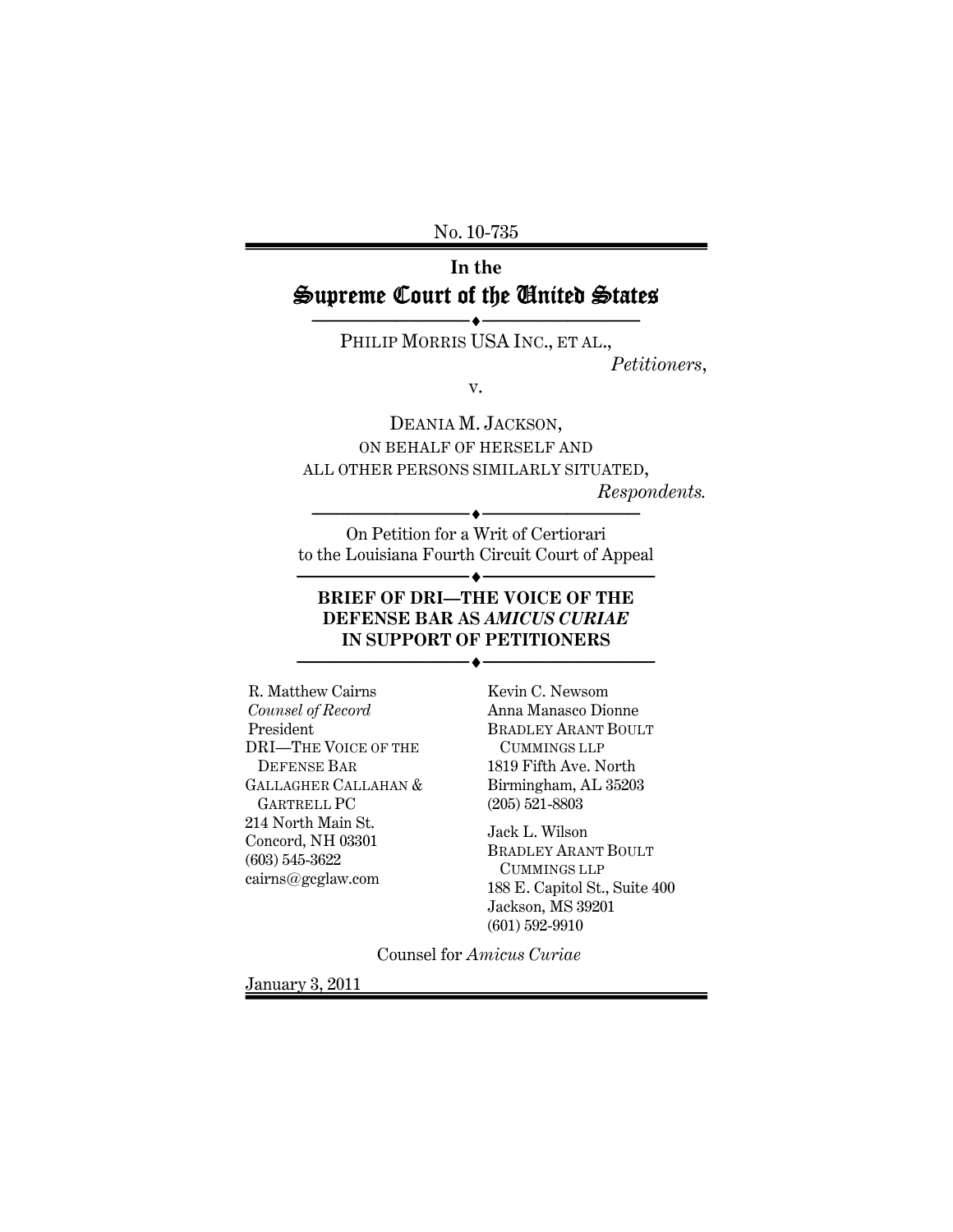No. 10-735

# **In the**  Supreme Court of the United States

───────────**◆────**────────────── PHILIP MORRIS USA INC., ET AL.,

*Petitioners*,

v.

DEANIA M. JACKSON, ON BEHALF OF HERSELF AND ALL OTHER PERSONS SIMILARLY SITUATED,

*Respondents.* 

───────────<del>─</del>◆───────────────── On Petition for a Writ of Certiorari to the Louisiana Fourth Circuit Court of Appeal

──◆────────────────────

#### **BRIEF OF DRI—THE VOICE OF THE DEFENSE BAR AS** *AMICUS CURIAE* **IN SUPPORT OF PETITIONERS**

──◆────────────────────

R. Matthew Cairns *Counsel of Record* President DRI—THE VOICE OF THE DEFENSE BAR GALLAGHER CALLAHAN & GARTRELL PC 214 North Main St. Concord, NH 03301 (603) 545-3622 cairns@gcglaw.com

Kevin C. Newsom Anna Manasco Dionne BRADLEY ARANT BOULT CUMMINGS LLP 1819 Fifth Ave. North Birmingham, AL 35203 (205) 521-8803

Jack L. Wilson BRADLEY ARANT BOULT CUMMINGS LLP 188 E. Capitol St., Suite 400 Jackson, MS 39201 (601) 592-9910

Counsel for *Amicus Curiae*

January 3, 2011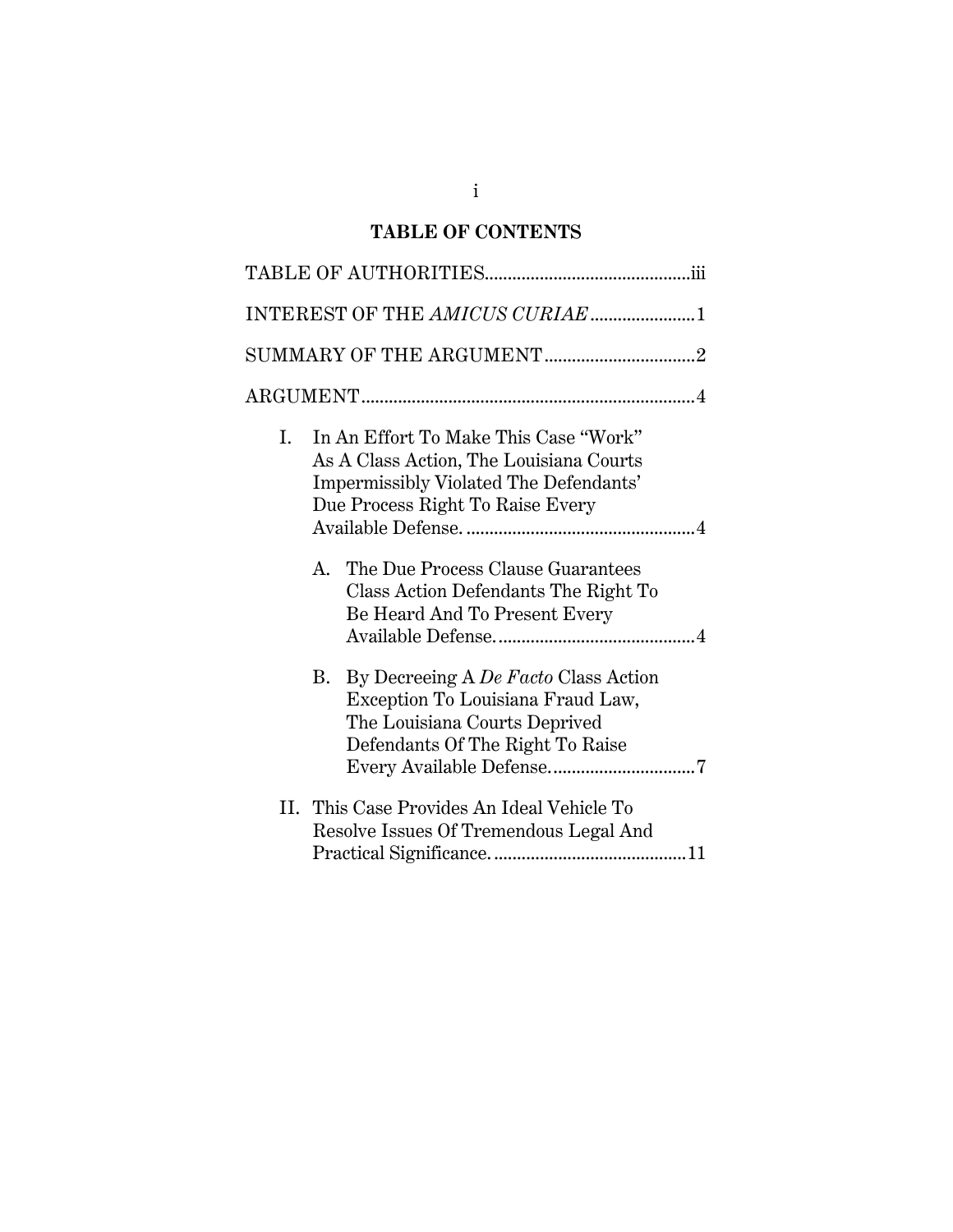# **TABLE OF CONTENTS**

|    | INTEREST OF THE AMICUS CURIAE 1                                                                                                                                |
|----|----------------------------------------------------------------------------------------------------------------------------------------------------------------|
|    |                                                                                                                                                                |
|    |                                                                                                                                                                |
| Ι. | In An Effort To Make This Case "Work"<br>As A Class Action, The Louisiana Courts<br>Impermissibly Violated The Defendants'<br>Due Process Right To Raise Every |
|    | The Due Process Clause Guarantees<br>$A_{-}$<br>Class Action Defendants The Right To<br>Be Heard And To Present Every                                          |
|    | By Decreeing A De Facto Class Action<br>В.<br>Exception To Louisiana Fraud Law,<br>The Louisiana Courts Deprived<br>Defendants Of The Right To Raise           |
|    | II. This Case Provides An Ideal Vehicle To<br>Resolve Issues Of Tremendous Legal And                                                                           |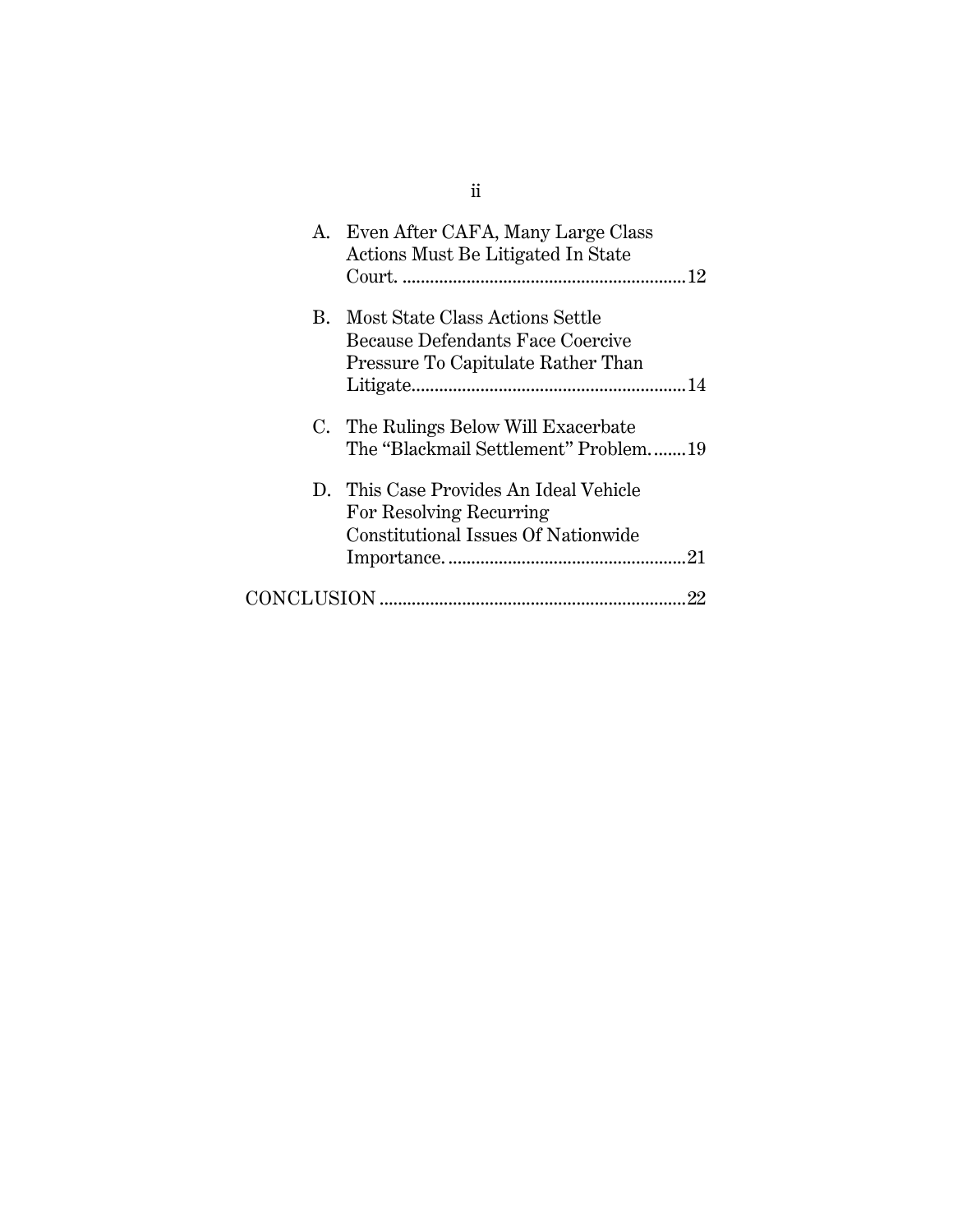|             | A. Even After CAFA, Many Large Class<br>Actions Must Be Litigated In State                                |
|-------------|-----------------------------------------------------------------------------------------------------------|
| $R_{\rm m}$ | Most State Class Actions Settle<br>Because Defendants Face Coercive<br>Pressure To Capitulate Rather Than |
|             | C. The Rulings Below Will Exacerbate<br>The "Blackmail Settlement" Problem19                              |
|             | D. This Case Provides An Ideal Vehicle<br>For Resolving Recurring<br>Constitutional Issues Of Nationwide  |
|             |                                                                                                           |

ii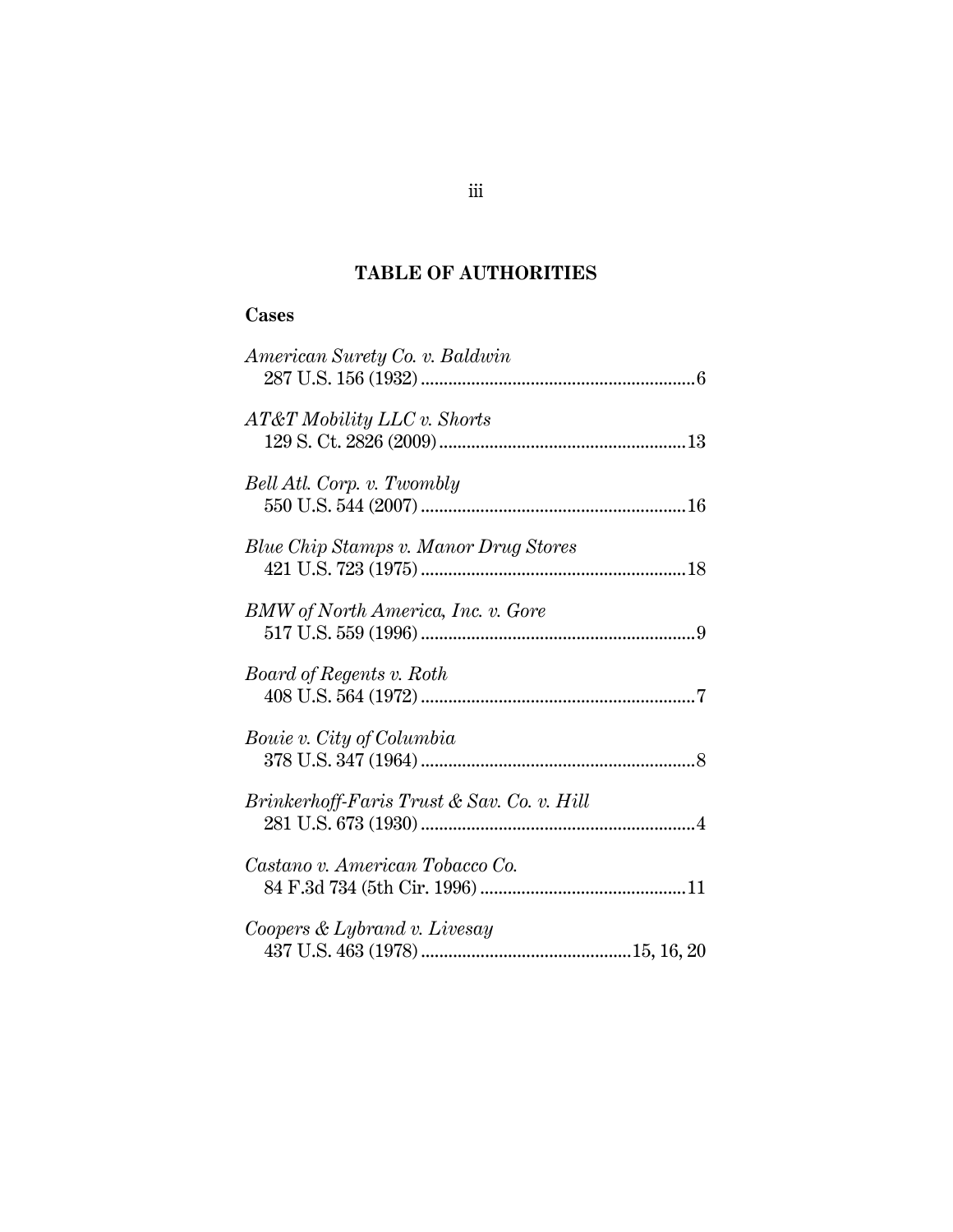# **TABLE OF AUTHORITIES**

#### **Cases**

| American Surety Co. v. Baldwin               |  |
|----------------------------------------------|--|
| AT&T Mobility LLC v. Shorts                  |  |
| Bell Atl. Corp. v. Twombly                   |  |
| <b>Blue Chip Stamps v. Manor Drug Stores</b> |  |
| BMW of North America, Inc. v. Gore           |  |
| Board of Regents v. Roth                     |  |
| Bouie v. City of Columbia                    |  |
| Brinkerhoff-Faris Trust & Sav. Co. v. Hill   |  |
| Castano v. American Tobacco Co.              |  |
| Coopers & Lybrand v. Livesay                 |  |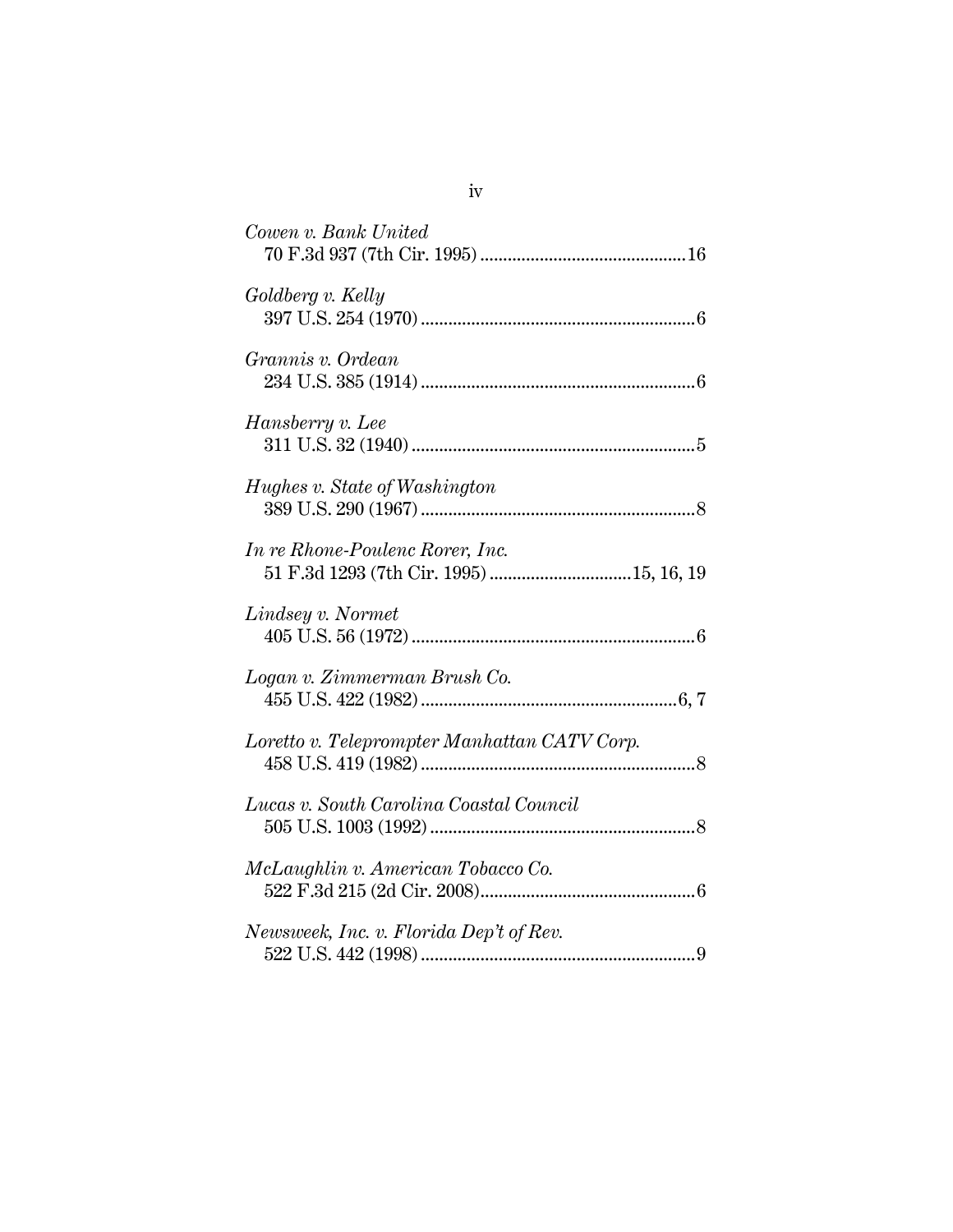| Cowen v. Bank United                                                        |
|-----------------------------------------------------------------------------|
| Goldberg v. Kelly                                                           |
| Grannis v. Ordean                                                           |
| Hansberry v. Lee                                                            |
| Hughes v. State of Washington                                               |
| In re Rhone-Poulenc Rorer, Inc.<br>51 F.3d 1293 (7th Cir. 1995)  15, 16, 19 |
| Lindsey v. Normet                                                           |
| Logan v. Zimmerman Brush Co.                                                |
| Loretto v. Teleprompter Manhattan CATV Corp.                                |
| Lucas v. South Carolina Coastal Council                                     |
| McLaughlin v. American Tobacco Co.                                          |
| Newsweek, Inc. v. Florida Dep't of Rev.                                     |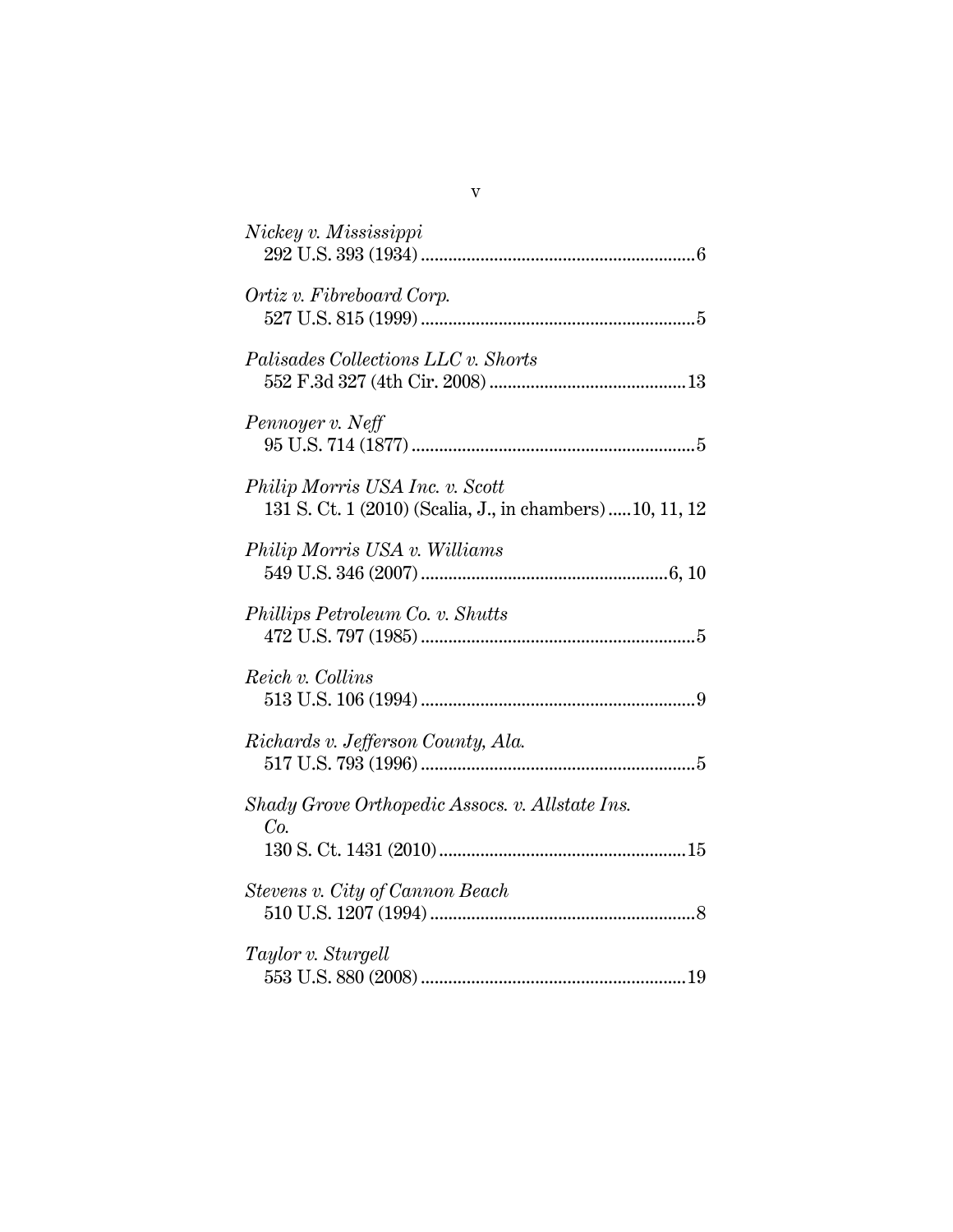| Nickey v. Mississippi                                                                        |
|----------------------------------------------------------------------------------------------|
| Ortiz v. Fibreboard Corp.                                                                    |
| Palisades Collections LLC v. Shorts                                                          |
| Pennoyer v. Neff                                                                             |
| Philip Morris USA Inc. v. Scott<br>131 S. Ct. 1 (2010) (Scalia, J., in chambers)  10, 11, 12 |
| Philip Morris USA v. Williams                                                                |
| Phillips Petroleum Co. v. Shutts                                                             |
| Reich v. Collins                                                                             |
| Richards v. Jefferson County, Ala.                                                           |
| Shady Grove Orthopedic Assocs. v. Allstate Ins.<br>Co.                                       |
| Stevens v. City of Cannon Beach                                                              |
| Taylor v. Sturgell                                                                           |

v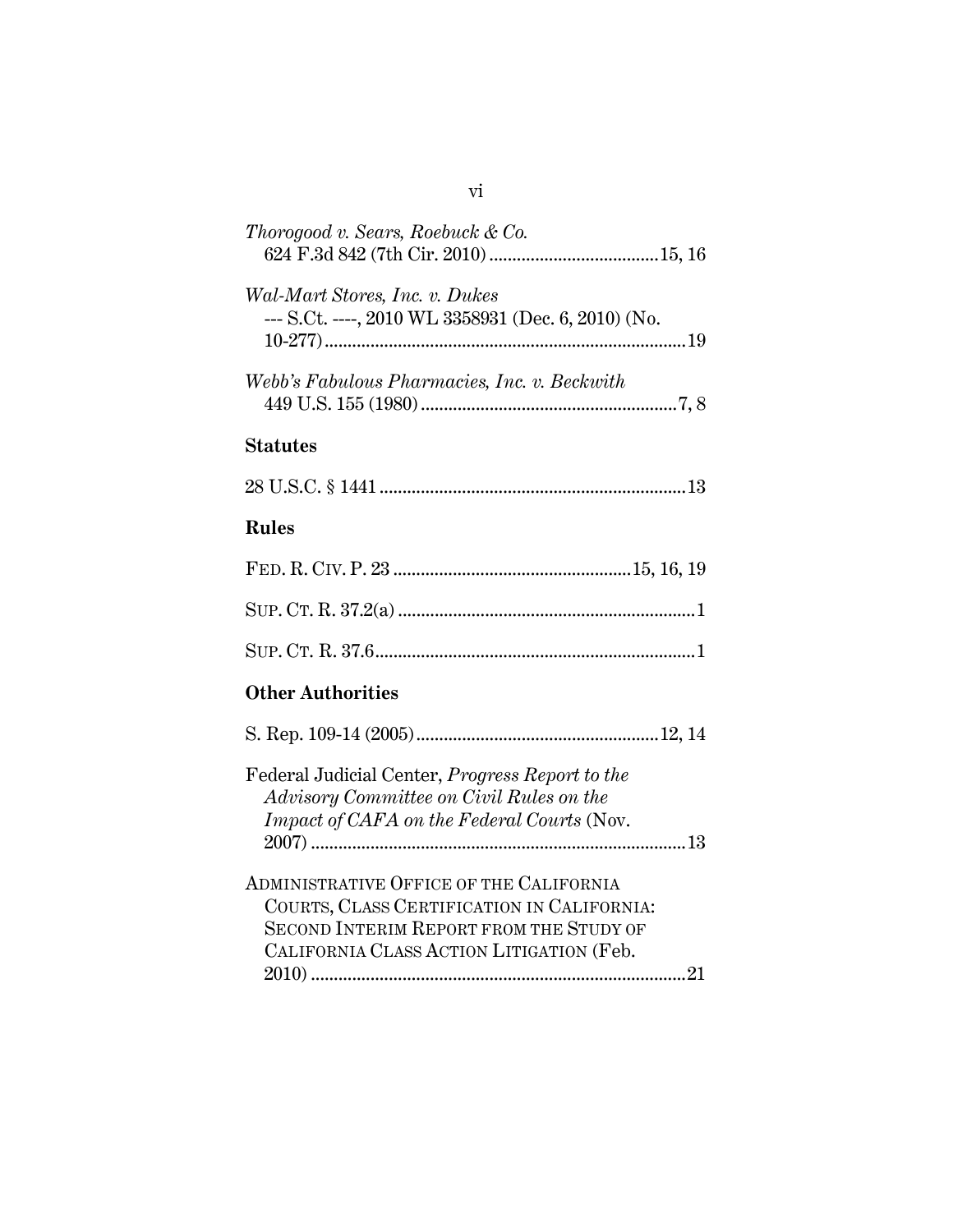| Thorogood v. Sears, Roebuck & Co.                                                                                                                                                   |
|-------------------------------------------------------------------------------------------------------------------------------------------------------------------------------------|
| Wal-Mart Stores, Inc. v. Dukes<br>--- S.Ct. ----, 2010 WL 3358931 (Dec. 6, 2010) (No.                                                                                               |
| Webb's Fabulous Pharmacies, Inc. v. Beckwith                                                                                                                                        |
| <b>Statutes</b>                                                                                                                                                                     |
|                                                                                                                                                                                     |
| <b>Rules</b>                                                                                                                                                                        |
|                                                                                                                                                                                     |
|                                                                                                                                                                                     |
|                                                                                                                                                                                     |
| <b>Other Authorities</b>                                                                                                                                                            |
|                                                                                                                                                                                     |
| Federal Judicial Center, <i>Progress Report to the</i><br>Advisory Committee on Civil Rules on the<br>Impact of CAFA on the Federal Courts (Nov.                                    |
| ADMINISTRATIVE OFFICE OF THE CALIFORNIA<br>COURTS, CLASS CERTIFICATION IN CALIFORNIA:<br><b>SECOND INTERIM REPORT FROM THE STUDY OF</b><br>CALIFORNIA CLASS ACTION LITIGATION (Feb. |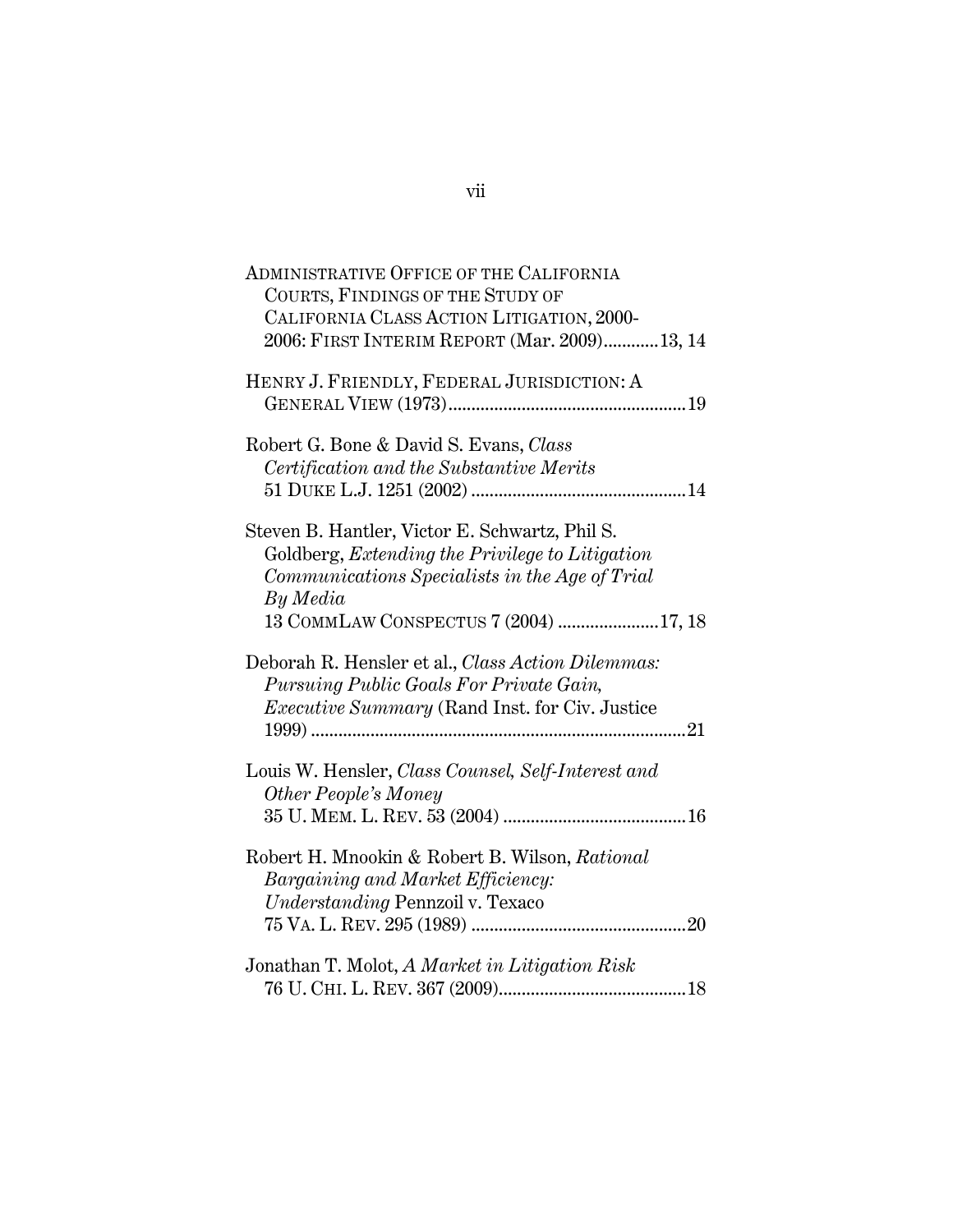| ADMINISTRATIVE OFFICE OF THE CALIFORNIA               |
|-------------------------------------------------------|
| COURTS, FINDINGS OF THE STUDY OF                      |
| CALIFORNIA CLASS ACTION LITIGATION, 2000-             |
| 2006: FIRST INTERIM REPORT (Mar. 2009) 13, 14         |
| HENRY J. FRIENDLY, FEDERAL JURISDICTION: A            |
|                                                       |
|                                                       |
| Robert G. Bone & David S. Evans, Class                |
| Certification and the Substantive Merits              |
|                                                       |
|                                                       |
| Steven B. Hantler, Victor E. Schwartz, Phil S.        |
| Goldberg, Extending the Privilege to Litigation       |
| Communications Specialists in the Age of Trial        |
| By Media                                              |
| 13 COMMLAW CONSPECTUS 7 (2004) 17, 18                 |
|                                                       |
| Deborah R. Hensler et al., Class Action Dilemmas:     |
| Pursuing Public Goals For Private Gain,               |
| <i>Executive Summary</i> (Rand Inst. for Civ. Justice |
|                                                       |
|                                                       |
| Louis W. Hensler, Class Counsel, Self-Interest and    |
| <b>Other People's Money</b>                           |
|                                                       |
|                                                       |
| Robert H. Mnookin & Robert B. Wilson, Rational        |
| Bargaining and Market Efficiency:                     |
| Understanding Pennzoil v. Texaco                      |
|                                                       |
|                                                       |
| Jonathan T. Molot, A Market in Litigation Risk        |
|                                                       |
|                                                       |

## vii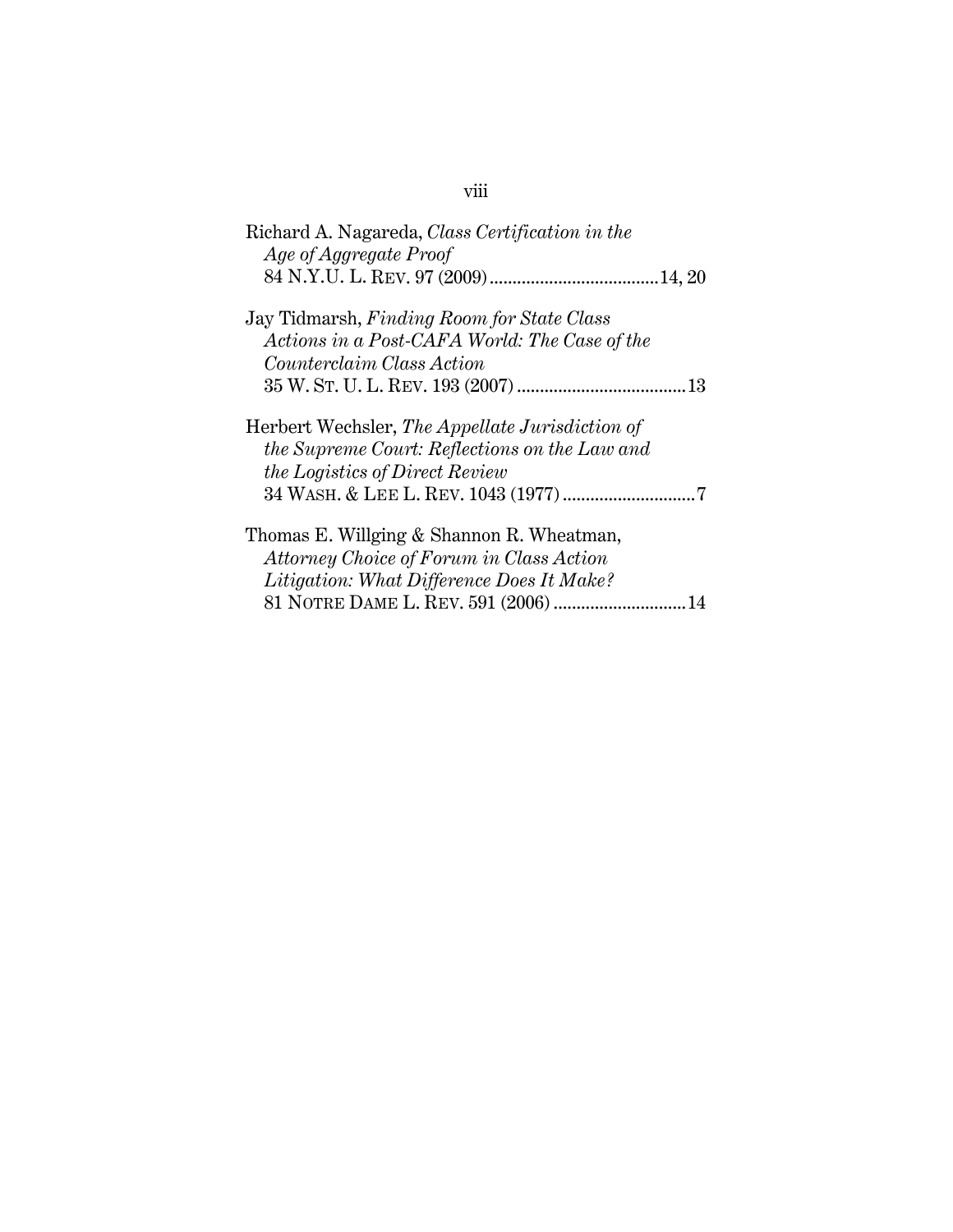| Richard A. Nagareda, Class Certification in the<br>Age of Aggregate Proof                                                                                                  |
|----------------------------------------------------------------------------------------------------------------------------------------------------------------------------|
|                                                                                                                                                                            |
| Jay Tidmarsh, Finding Room for State Class                                                                                                                                 |
| Actions in a Post-CAFA World: The Case of the                                                                                                                              |
| <i>Counterclaim Class Action</i>                                                                                                                                           |
|                                                                                                                                                                            |
| Herbert Wechsler, The Appellate Jurisdiction of<br>the Supreme Court: Reflections on the Law and<br>the Logistics of Direct Review                                         |
| Thomas E. Willging & Shannon R. Wheatman,<br>Attorney Choice of Forum in Class Action<br>Litigation: What Difference Does It Make?<br>81 NOTRE DAME L. REV. 591 (2006)  14 |

# viii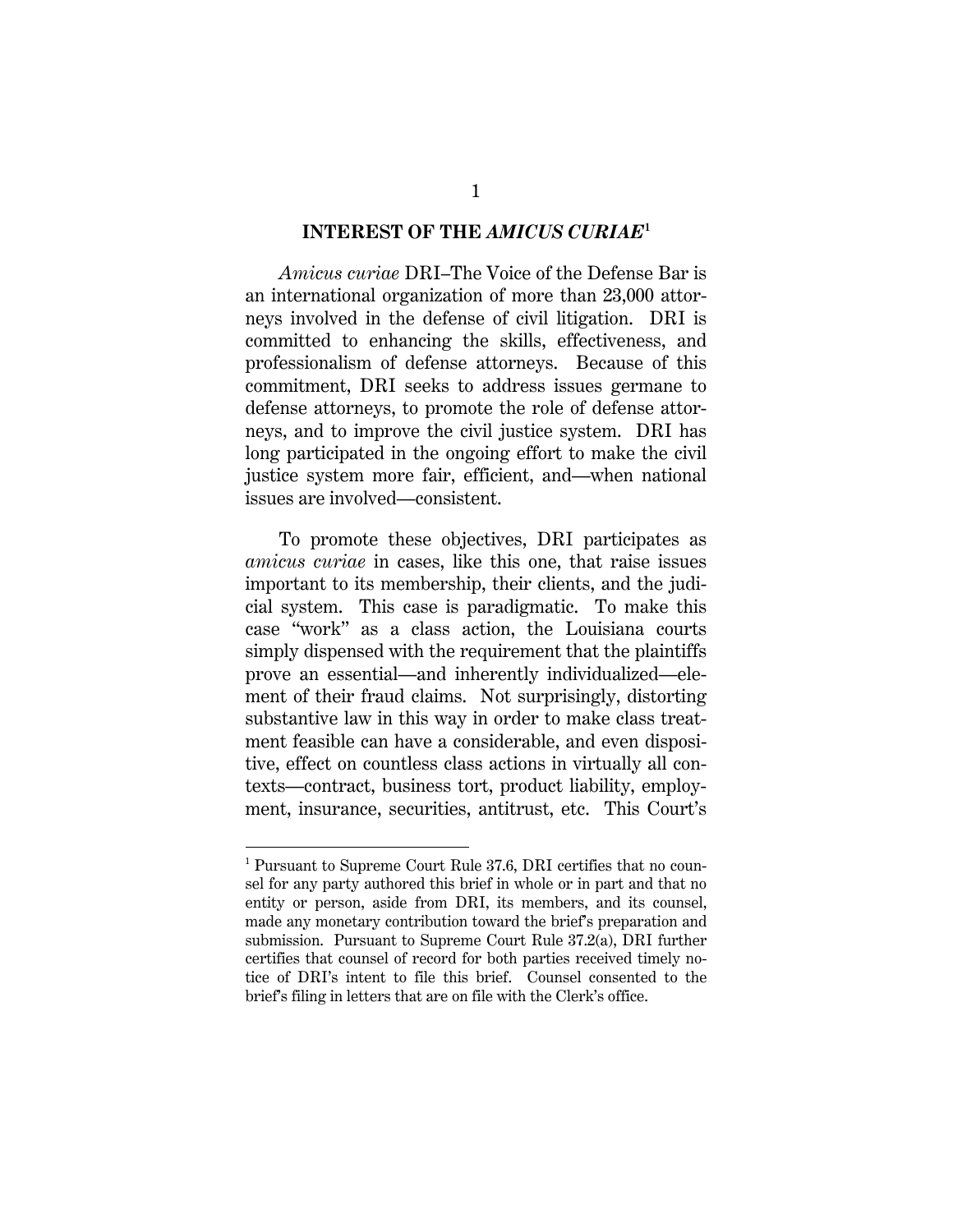#### **INTEREST OF THE** *AMICUS CURIAE***<sup>1</sup>**

*Amicus curiae* DRI–The Voice of the Defense Bar is an international organization of more than 23,000 attorneys involved in the defense of civil litigation. DRI is committed to enhancing the skills, effectiveness, and professionalism of defense attorneys. Because of this commitment, DRI seeks to address issues germane to defense attorneys, to promote the role of defense attorneys, and to improve the civil justice system. DRI has long participated in the ongoing effort to make the civil justice system more fair, efficient, and—when national issues are involved—consistent.

To promote these objectives, DRI participates as *amicus curiae* in cases, like this one, that raise issues important to its membership, their clients, and the judicial system. This case is paradigmatic. To make this case "work" as a class action, the Louisiana courts simply dispensed with the requirement that the plaintiffs prove an essential—and inherently individualized—element of their fraud claims. Not surprisingly, distorting substantive law in this way in order to make class treatment feasible can have a considerable, and even dispositive, effect on countless class actions in virtually all contexts—contract, business tort, product liability, employment, insurance, securities, antitrust, etc. This Court's

l

<sup>&</sup>lt;sup>1</sup> Pursuant to Supreme Court Rule 37.6, DRI certifies that no counsel for any party authored this brief in whole or in part and that no entity or person, aside from DRI, its members, and its counsel, made any monetary contribution toward the brief's preparation and submission. Pursuant to Supreme Court Rule 37.2(a), DRI further certifies that counsel of record for both parties received timely notice of DRI's intent to file this brief. Counsel consented to the brief's filing in letters that are on file with the Clerk's office.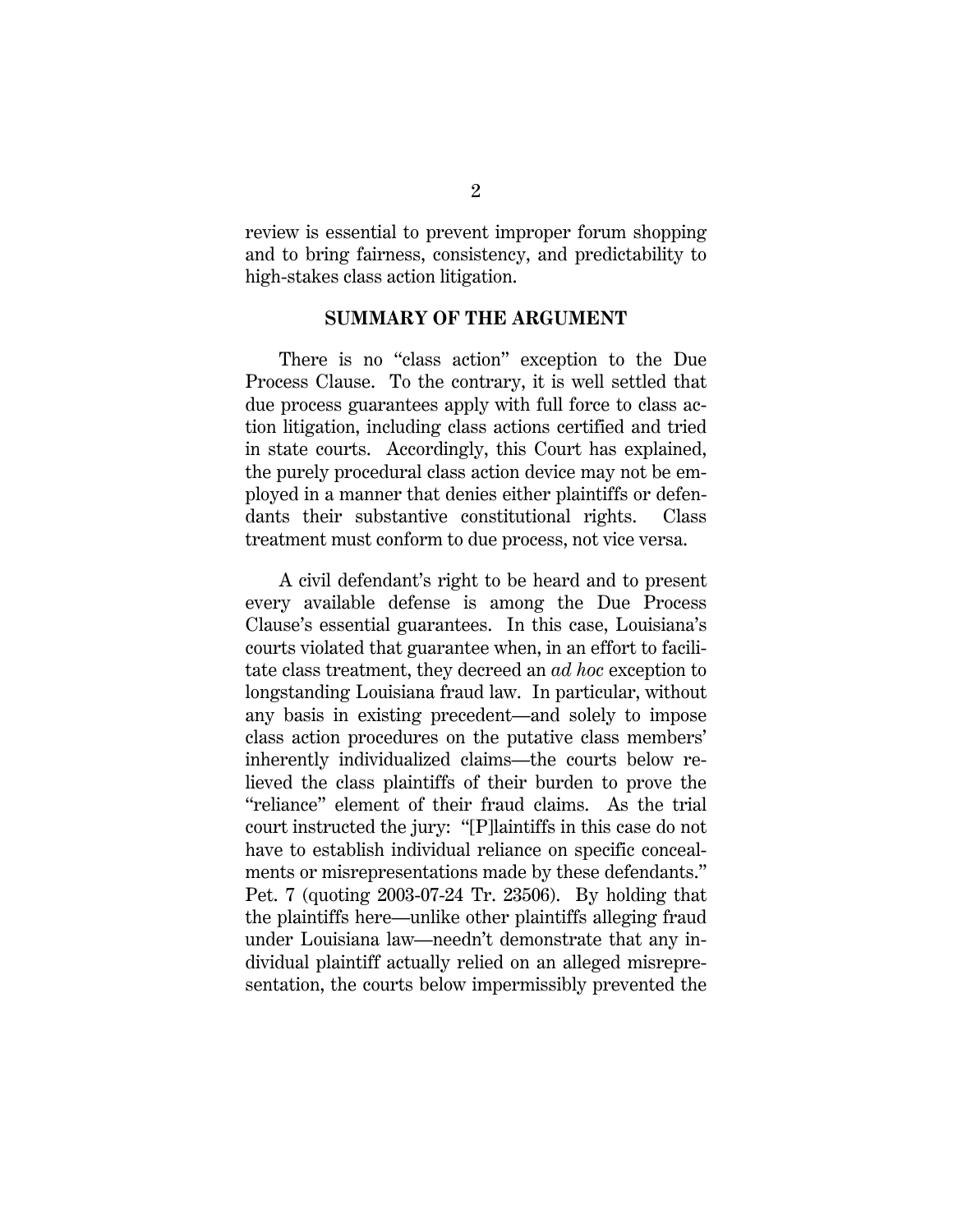review is essential to prevent improper forum shopping and to bring fairness, consistency, and predictability to high-stakes class action litigation.

#### **SUMMARY OF THE ARGUMENT**

There is no "class action" exception to the Due Process Clause. To the contrary, it is well settled that due process guarantees apply with full force to class action litigation, including class actions certified and tried in state courts. Accordingly, this Court has explained, the purely procedural class action device may not be employed in a manner that denies either plaintiffs or defendants their substantive constitutional rights. Class treatment must conform to due process, not vice versa.

A civil defendant's right to be heard and to present every available defense is among the Due Process Clause's essential guarantees. In this case, Louisiana's courts violated that guarantee when, in an effort to facilitate class treatment, they decreed an *ad hoc* exception to longstanding Louisiana fraud law. In particular, without any basis in existing precedent—and solely to impose class action procedures on the putative class members' inherently individualized claims—the courts below relieved the class plaintiffs of their burden to prove the "reliance" element of their fraud claims. As the trial court instructed the jury: "[P]laintiffs in this case do not have to establish individual reliance on specific concealments or misrepresentations made by these defendants." Pet. 7 (quoting 2003-07-24 Tr. 23506). By holding that the plaintiffs here—unlike other plaintiffs alleging fraud under Louisiana law—needn't demonstrate that any individual plaintiff actually relied on an alleged misrepresentation, the courts below impermissibly prevented the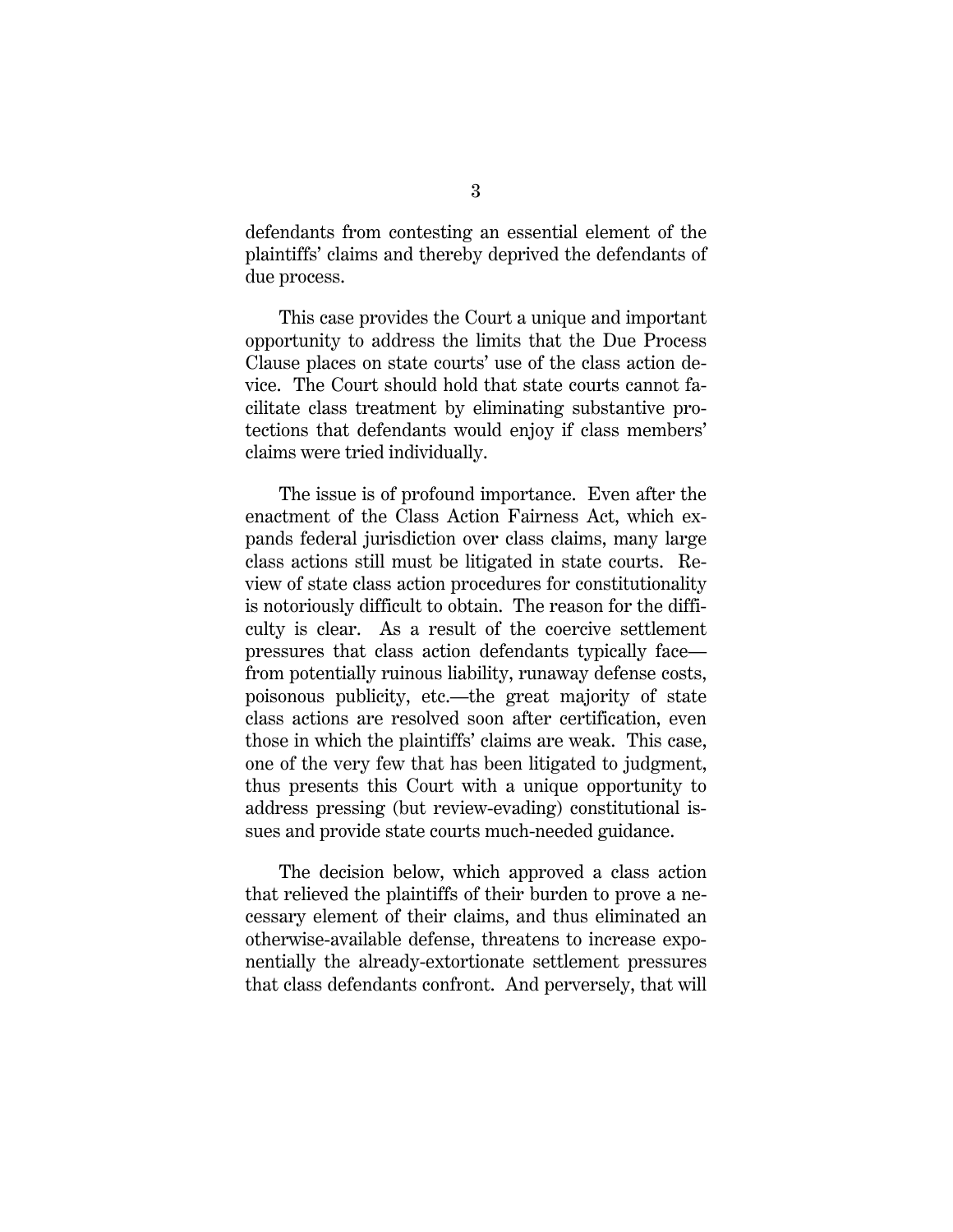defendants from contesting an essential element of the plaintiffs' claims and thereby deprived the defendants of due process.

This case provides the Court a unique and important opportunity to address the limits that the Due Process Clause places on state courts' use of the class action device. The Court should hold that state courts cannot facilitate class treatment by eliminating substantive protections that defendants would enjoy if class members' claims were tried individually.

The issue is of profound importance. Even after the enactment of the Class Action Fairness Act, which expands federal jurisdiction over class claims, many large class actions still must be litigated in state courts. Review of state class action procedures for constitutionality is notoriously difficult to obtain. The reason for the difficulty is clear. As a result of the coercive settlement pressures that class action defendants typically face from potentially ruinous liability, runaway defense costs, poisonous publicity, etc.—the great majority of state class actions are resolved soon after certification, even those in which the plaintiffs' claims are weak. This case, one of the very few that has been litigated to judgment, thus presents this Court with a unique opportunity to address pressing (but review-evading) constitutional issues and provide state courts much-needed guidance.

The decision below, which approved a class action that relieved the plaintiffs of their burden to prove a necessary element of their claims, and thus eliminated an otherwise-available defense, threatens to increase exponentially the already-extortionate settlement pressures that class defendants confront. And perversely, that will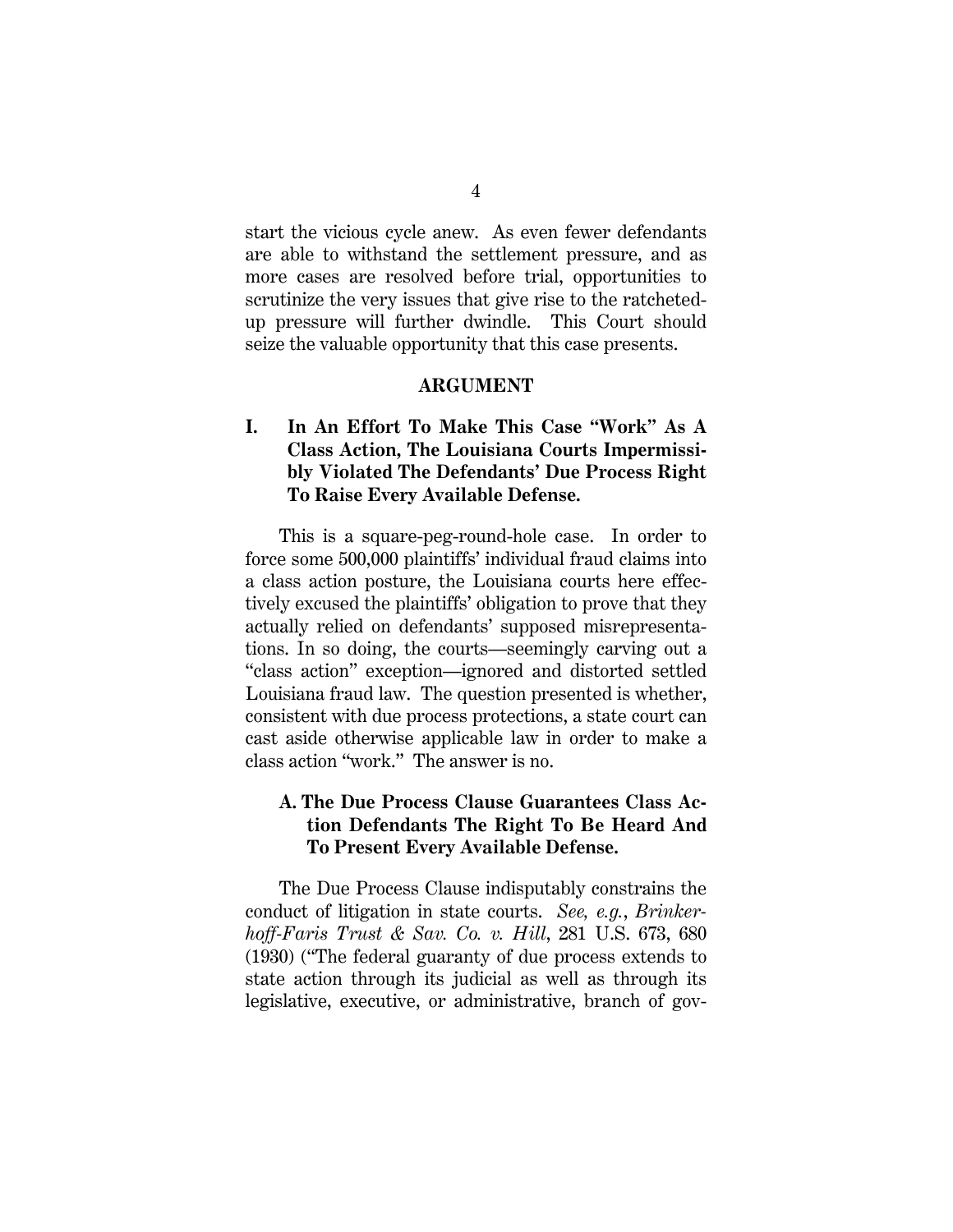start the vicious cycle anew. As even fewer defendants are able to withstand the settlement pressure, and as more cases are resolved before trial, opportunities to scrutinize the very issues that give rise to the ratchetedup pressure will further dwindle. This Court should seize the valuable opportunity that this case presents.

#### **ARGUMENT**

## **I. In An Effort To Make This Case "Work" As A Class Action, The Louisiana Courts Impermissibly Violated The Defendants' Due Process Right To Raise Every Available Defense.**

This is a square-peg-round-hole case. In order to force some 500,000 plaintiffs' individual fraud claims into a class action posture, the Louisiana courts here effectively excused the plaintiffs' obligation to prove that they actually relied on defendants' supposed misrepresentations. In so doing, the courts—seemingly carving out a "class action" exception—ignored and distorted settled Louisiana fraud law. The question presented is whether, consistent with due process protections, a state court can cast aside otherwise applicable law in order to make a class action "work." The answer is no.

### **A. The Due Process Clause Guarantees Class Action Defendants The Right To Be Heard And To Present Every Available Defense.**

The Due Process Clause indisputably constrains the conduct of litigation in state courts. *See, e.g.*, *Brinkerhoff-Faris Trust & Sav. Co. v. Hill*, 281 U.S. 673, 680 (1930) ("The federal guaranty of due process extends to state action through its judicial as well as through its legislative, executive, or administrative, branch of gov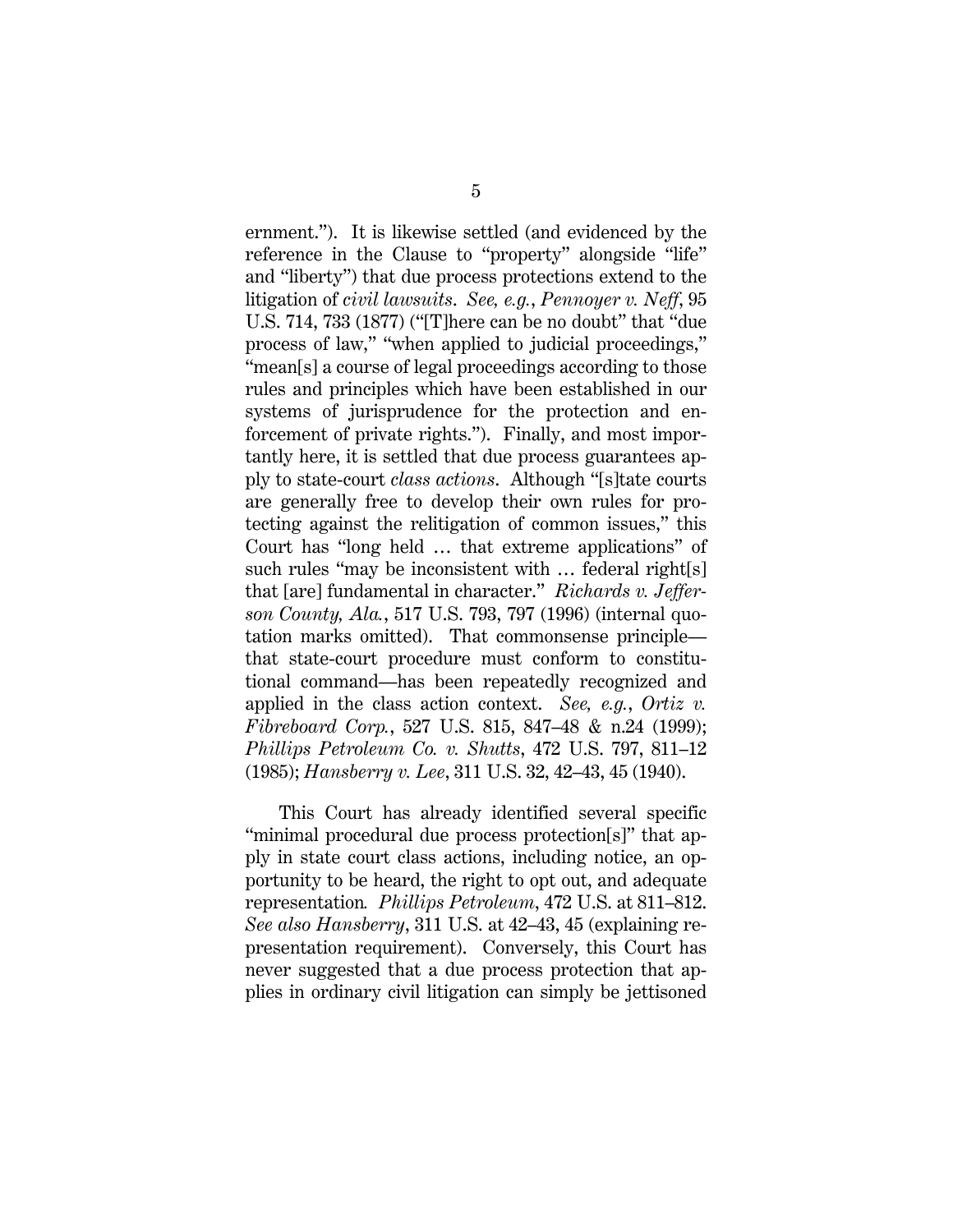ernment."). It is likewise settled (and evidenced by the reference in the Clause to "property" alongside "life" and "liberty") that due process protections extend to the litigation of *civil lawsuits*. *See, e.g.*, *Pennoyer v. Neff*, 95 U.S. 714, 733 (1877) ("[T]here can be no doubt" that "due process of law," "when applied to judicial proceedings," "mean[s] a course of legal proceedings according to those rules and principles which have been established in our systems of jurisprudence for the protection and enforcement of private rights."). Finally, and most importantly here, it is settled that due process guarantees apply to state-court *class actions*. Although "[s]tate courts are generally free to develop their own rules for protecting against the relitigation of common issues," this Court has "long held … that extreme applications" of such rules "may be inconsistent with … federal right[s] that [are] fundamental in character." *Richards v. Jefferson County, Ala.*, 517 U.S. 793, 797 (1996) (internal quotation marks omitted). That commonsense principle that state-court procedure must conform to constitutional command—has been repeatedly recognized and applied in the class action context. *See, e.g.*, *Ortiz v. Fibreboard Corp.*, 527 U.S. 815, 847–48 & n.24 (1999); *Phillips Petroleum Co. v. Shutts*, 472 U.S. 797, 811–12 (1985); *Hansberry v. Lee*, 311 U.S. 32, 42–43, 45 (1940).

This Court has already identified several specific "minimal procedural due process protection[s]" that apply in state court class actions, including notice, an opportunity to be heard, the right to opt out, and adequate representation*. Phillips Petroleum*, 472 U.S. at 811–812. *See also Hansberry*, 311 U.S. at 42–43, 45 (explaining representation requirement). Conversely, this Court has never suggested that a due process protection that applies in ordinary civil litigation can simply be jettisoned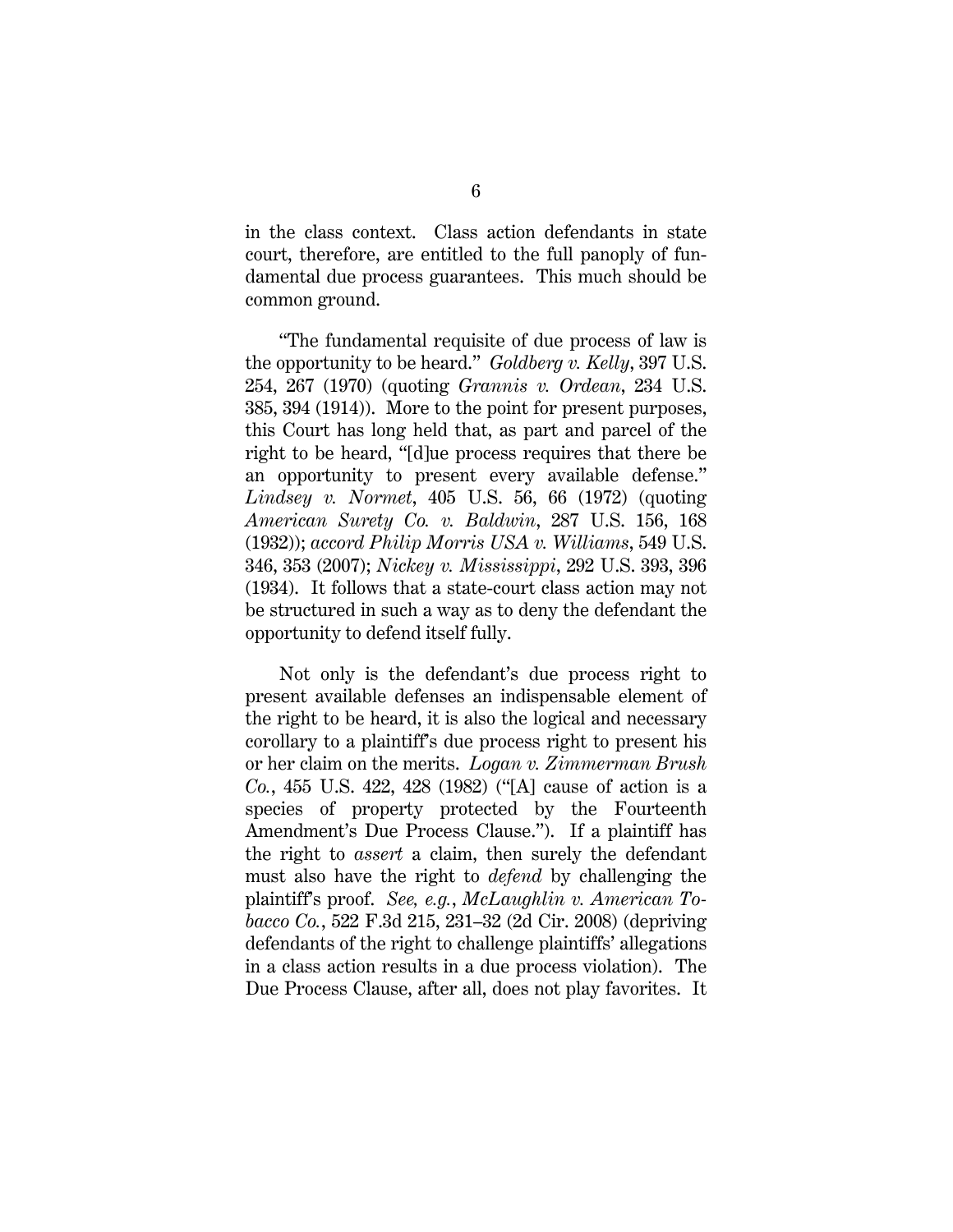in the class context. Class action defendants in state court, therefore, are entitled to the full panoply of fundamental due process guarantees. This much should be common ground.

"The fundamental requisite of due process of law is the opportunity to be heard." *Goldberg v. Kelly*, 397 U.S. 254, 267 (1970) (quoting *Grannis v. Ordean*, 234 U.S. 385, 394 (1914)). More to the point for present purposes, this Court has long held that, as part and parcel of the right to be heard, "[d]ue process requires that there be an opportunity to present every available defense." *Lindsey v. Normet*, 405 U.S. 56, 66 (1972) (quoting *American Surety Co. v. Baldwin*, 287 U.S. 156, 168 (1932)); *accord Philip Morris USA v. Williams*, 549 U.S. 346, 353 (2007); *Nickey v. Mississippi*, 292 U.S. 393, 396 (1934). It follows that a state-court class action may not be structured in such a way as to deny the defendant the opportunity to defend itself fully.

Not only is the defendant's due process right to present available defenses an indispensable element of the right to be heard, it is also the logical and necessary corollary to a plaintiff's due process right to present his or her claim on the merits. *Logan v. Zimmerman Brush Co.*, 455 U.S. 422, 428 (1982) ("[A] cause of action is a species of property protected by the Fourteenth Amendment's Due Process Clause."). If a plaintiff has the right to *assert* a claim, then surely the defendant must also have the right to *defend* by challenging the plaintiff's proof. *See, e.g.*, *McLaughlin v. American Tobacco Co.*, 522 F.3d 215, 231–32 (2d Cir. 2008) (depriving defendants of the right to challenge plaintiffs' allegations in a class action results in a due process violation). The Due Process Clause, after all, does not play favorites. It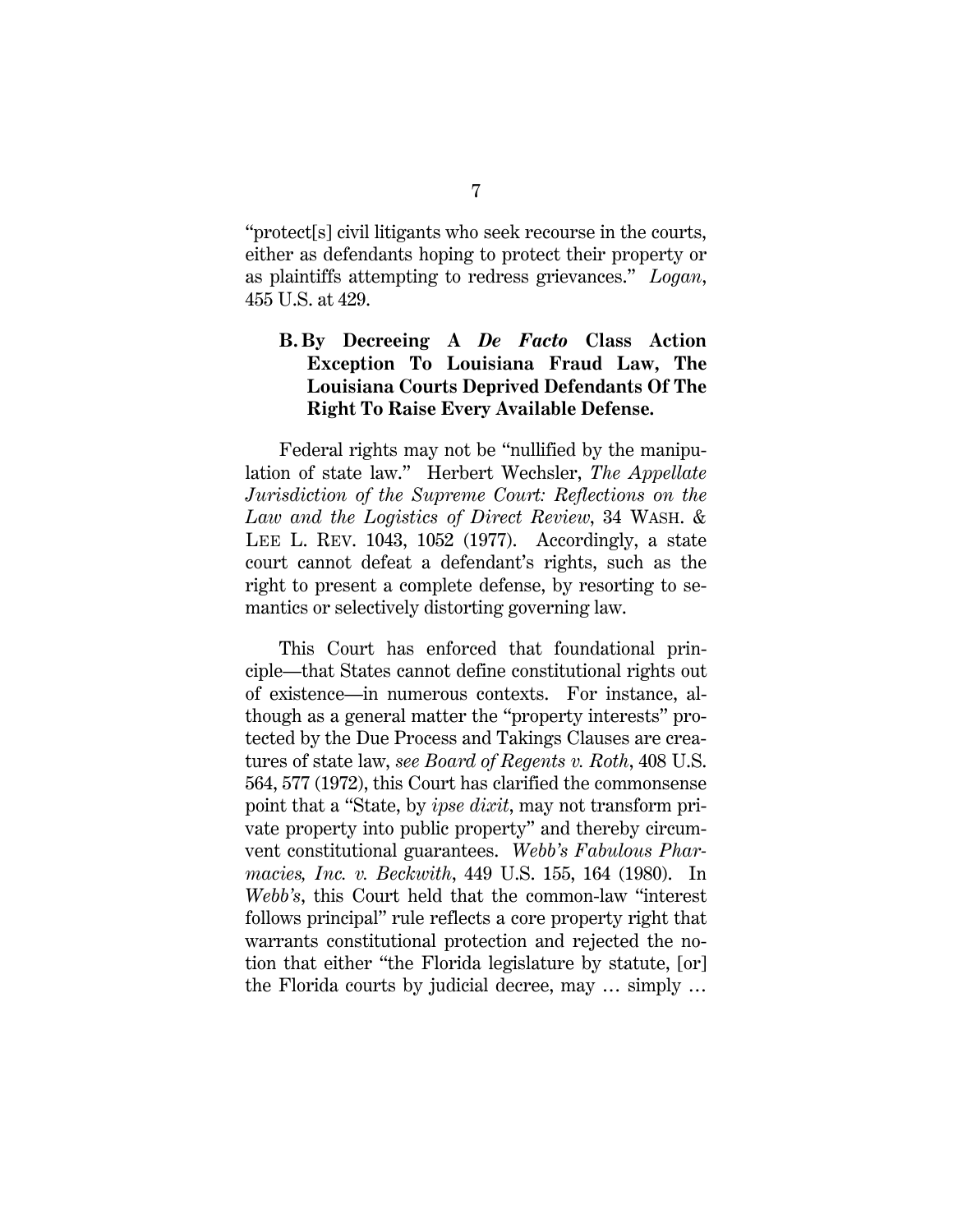"protect[s] civil litigants who seek recourse in the courts, either as defendants hoping to protect their property or as plaintiffs attempting to redress grievances." *Logan*, 455 U.S. at 429.

## **B. By Decreeing A** *De Facto* **Class Action Exception To Louisiana Fraud Law, The Louisiana Courts Deprived Defendants Of The Right To Raise Every Available Defense.**

Federal rights may not be "nullified by the manipulation of state law." Herbert Wechsler, *The Appellate Jurisdiction of the Supreme Court: Reflections on the Law and the Logistics of Direct Review*, 34 WASH. & LEE L. REV. 1043, 1052 (1977). Accordingly, a state court cannot defeat a defendant's rights, such as the right to present a complete defense, by resorting to semantics or selectively distorting governing law.

This Court has enforced that foundational principle—that States cannot define constitutional rights out of existence—in numerous contexts. For instance, although as a general matter the "property interests" protected by the Due Process and Takings Clauses are creatures of state law, *see Board of Regents v. Roth*, 408 U.S. 564, 577 (1972), this Court has clarified the commonsense point that a "State, by *ipse dixit*, may not transform private property into public property" and thereby circumvent constitutional guarantees. *Webb's Fabulous Pharmacies, Inc. v. Beckwith*, 449 U.S. 155, 164 (1980). In *Webb's*, this Court held that the common-law "interest follows principal" rule reflects a core property right that warrants constitutional protection and rejected the notion that either "the Florida legislature by statute, [or] the Florida courts by judicial decree, may … simply …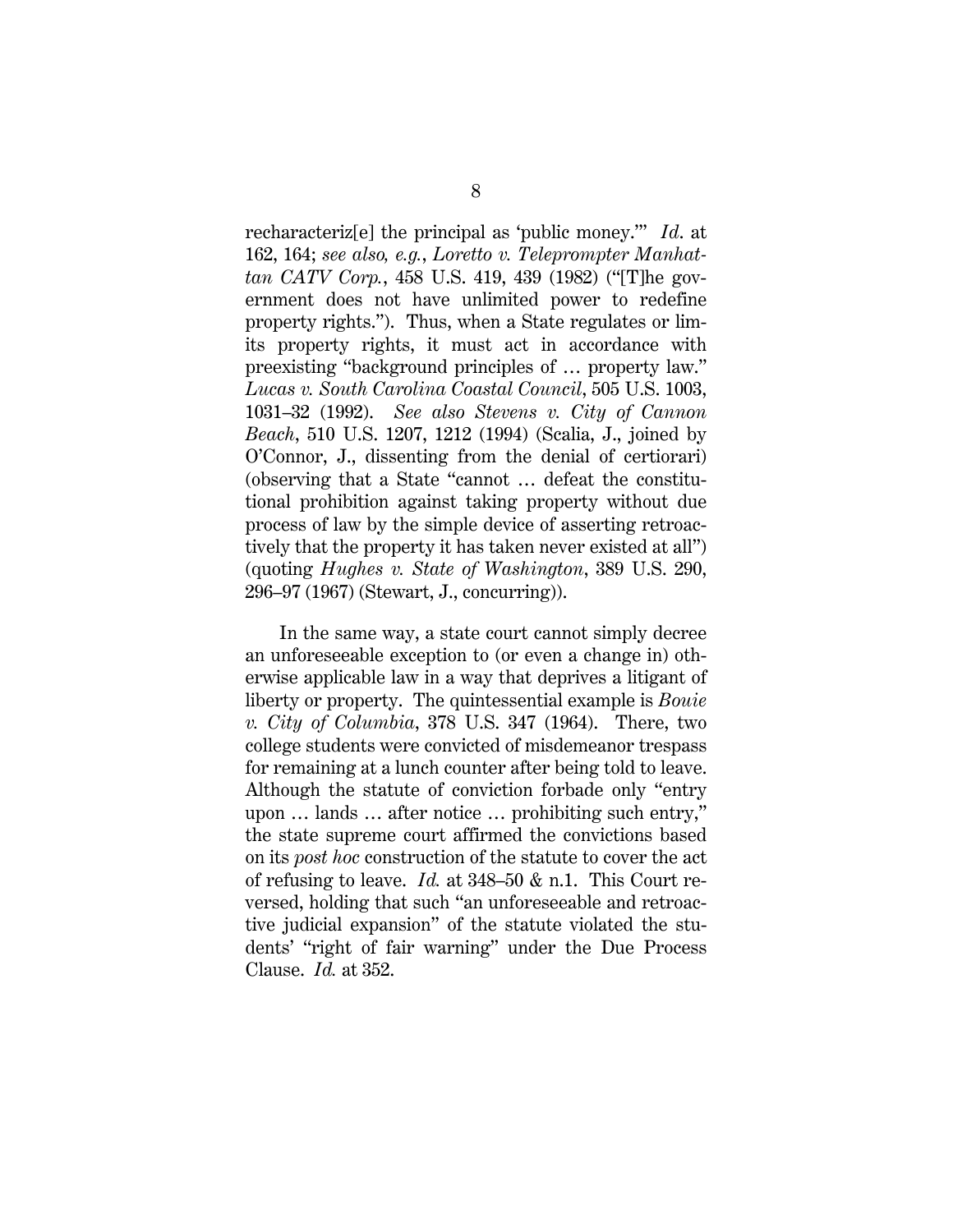recharacteriz[e] the principal as 'public money.'" *Id*. at 162, 164; *see also, e.g.*, *Loretto v. Teleprompter Manhattan CATV Corp.*, 458 U.S. 419, 439 (1982) ("[T]he government does not have unlimited power to redefine property rights."). Thus, when a State regulates or limits property rights, it must act in accordance with preexisting "background principles of … property law." *Lucas v. South Carolina Coastal Council*, 505 U.S. 1003, 1031–32 (1992). *See also Stevens v. City of Cannon Beach*, 510 U.S. 1207, 1212 (1994) (Scalia, J., joined by O'Connor, J., dissenting from the denial of certiorari) (observing that a State "cannot … defeat the constitutional prohibition against taking property without due process of law by the simple device of asserting retroactively that the property it has taken never existed at all") (quoting *Hughes v. State of Washington*, 389 U.S. 290, 296–97 (1967) (Stewart, J., concurring)).

In the same way, a state court cannot simply decree an unforeseeable exception to (or even a change in) otherwise applicable law in a way that deprives a litigant of liberty or property. The quintessential example is *Bouie v. City of Columbia*, 378 U.S. 347 (1964). There, two college students were convicted of misdemeanor trespass for remaining at a lunch counter after being told to leave. Although the statute of conviction forbade only "entry upon … lands … after notice … prohibiting such entry," the state supreme court affirmed the convictions based on its *post hoc* construction of the statute to cover the act of refusing to leave. *Id.* at 348–50 & n.1. This Court reversed, holding that such "an unforeseeable and retroactive judicial expansion" of the statute violated the students' "right of fair warning" under the Due Process Clause. *Id.* at 352.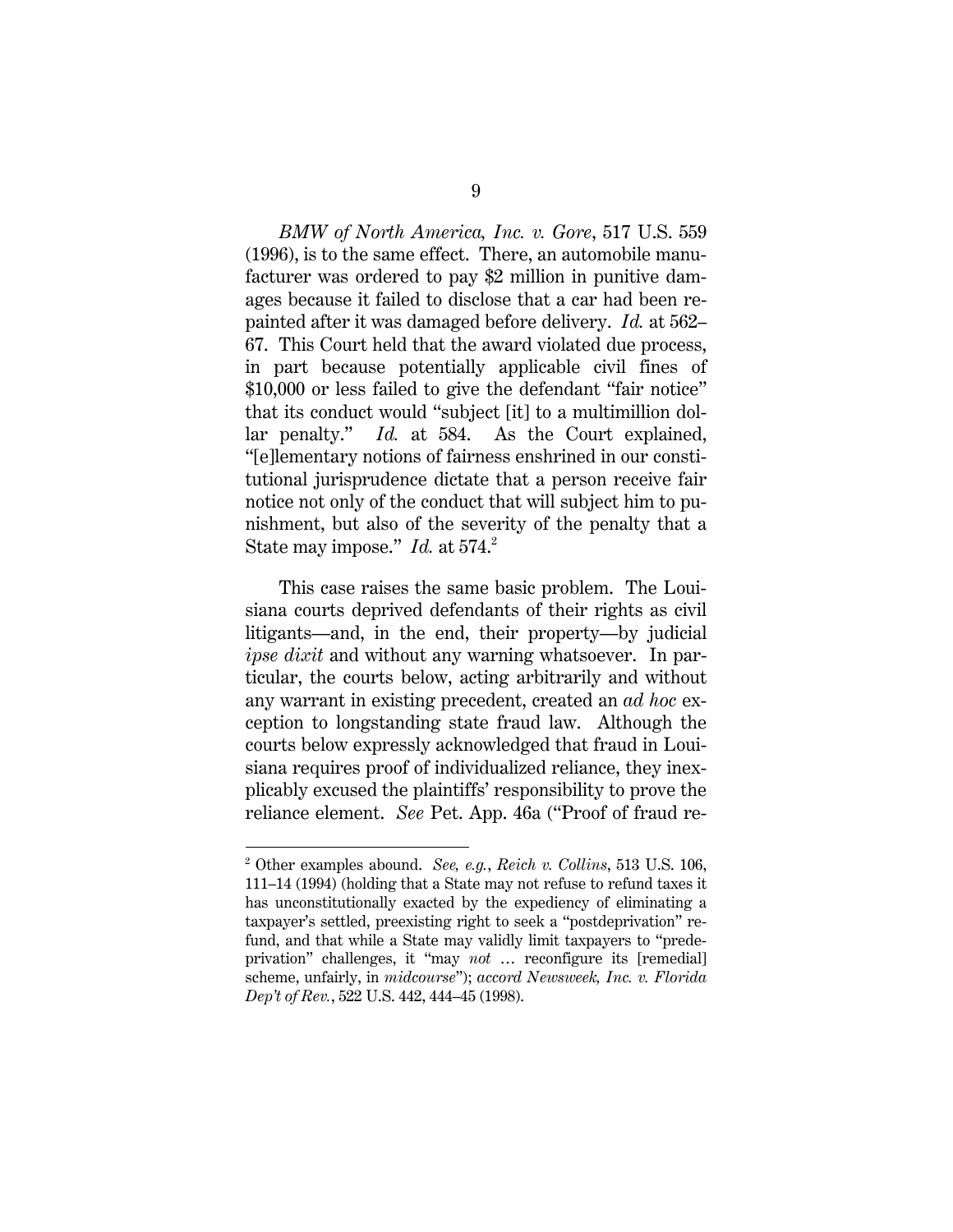*BMW of North America, Inc. v. Gore*, 517 U.S. 559 (1996), is to the same effect. There, an automobile manufacturer was ordered to pay \$2 million in punitive damages because it failed to disclose that a car had been repainted after it was damaged before delivery. *Id.* at 562– 67. This Court held that the award violated due process, in part because potentially applicable civil fines of \$10,000 or less failed to give the defendant "fair notice" that its conduct would "subject [it] to a multimillion dollar penalty." *Id.* at 584. As the Court explained, "[e]lementary notions of fairness enshrined in our constitutional jurisprudence dictate that a person receive fair notice not only of the conduct that will subject him to punishment, but also of the severity of the penalty that a State may impose." *Id.* at 574.<sup>2</sup>

This case raises the same basic problem. The Louisiana courts deprived defendants of their rights as civil litigants—and, in the end, their property—by judicial *ipse dixit* and without any warning whatsoever. In particular, the courts below, acting arbitrarily and without any warrant in existing precedent, created an *ad hoc* exception to longstanding state fraud law. Although the courts below expressly acknowledged that fraud in Louisiana requires proof of individualized reliance, they inexplicably excused the plaintiffs' responsibility to prove the reliance element. *See* Pet. App. 46a ("Proof of fraud re-

l

<sup>2</sup> Other examples abound. *See, e.g.*, *Reich v. Collins*, 513 U.S. 106, 111–14 (1994) (holding that a State may not refuse to refund taxes it has unconstitutionally exacted by the expediency of eliminating a taxpayer's settled, preexisting right to seek a "postdeprivation" refund, and that while a State may validly limit taxpayers to "predeprivation" challenges, it "may *not* … reconfigure its [remedial] scheme, unfairly, in *midcourse*"); *accord Newsweek, Inc. v. Florida Dep't of Rev.*, 522 U.S. 442, 444–45 (1998).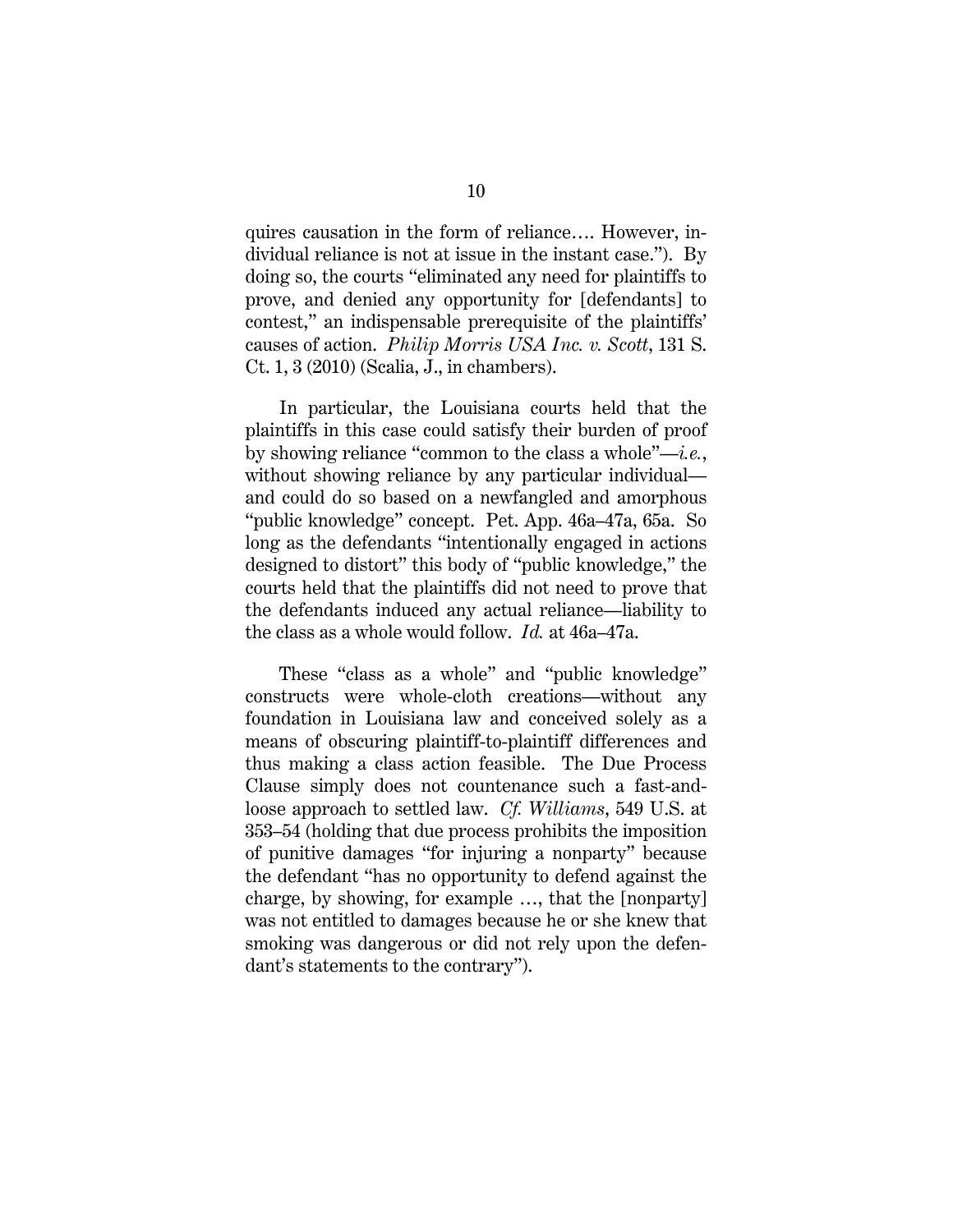quires causation in the form of reliance…. However, individual reliance is not at issue in the instant case."). By doing so, the courts "eliminated any need for plaintiffs to prove, and denied any opportunity for [defendants] to contest," an indispensable prerequisite of the plaintiffs' causes of action. *Philip Morris USA Inc. v. Scott*, 131 S. Ct. 1, 3 (2010) (Scalia, J., in chambers).

In particular, the Louisiana courts held that the plaintiffs in this case could satisfy their burden of proof by showing reliance "common to the class a whole"—*i.e.*, without showing reliance by any particular individual and could do so based on a newfangled and amorphous "public knowledge" concept. Pet. App. 46a–47a, 65a. So long as the defendants "intentionally engaged in actions designed to distort" this body of "public knowledge," the courts held that the plaintiffs did not need to prove that the defendants induced any actual reliance—liability to the class as a whole would follow. *Id.* at 46a–47a.

These "class as a whole" and "public knowledge" constructs were whole-cloth creations—without any foundation in Louisiana law and conceived solely as a means of obscuring plaintiff-to-plaintiff differences and thus making a class action feasible. The Due Process Clause simply does not countenance such a fast-andloose approach to settled law. *Cf. Williams*, 549 U.S. at 353–54 (holding that due process prohibits the imposition of punitive damages "for injuring a nonparty" because the defendant "has no opportunity to defend against the charge, by showing, for example …, that the [nonparty] was not entitled to damages because he or she knew that smoking was dangerous or did not rely upon the defendant's statements to the contrary").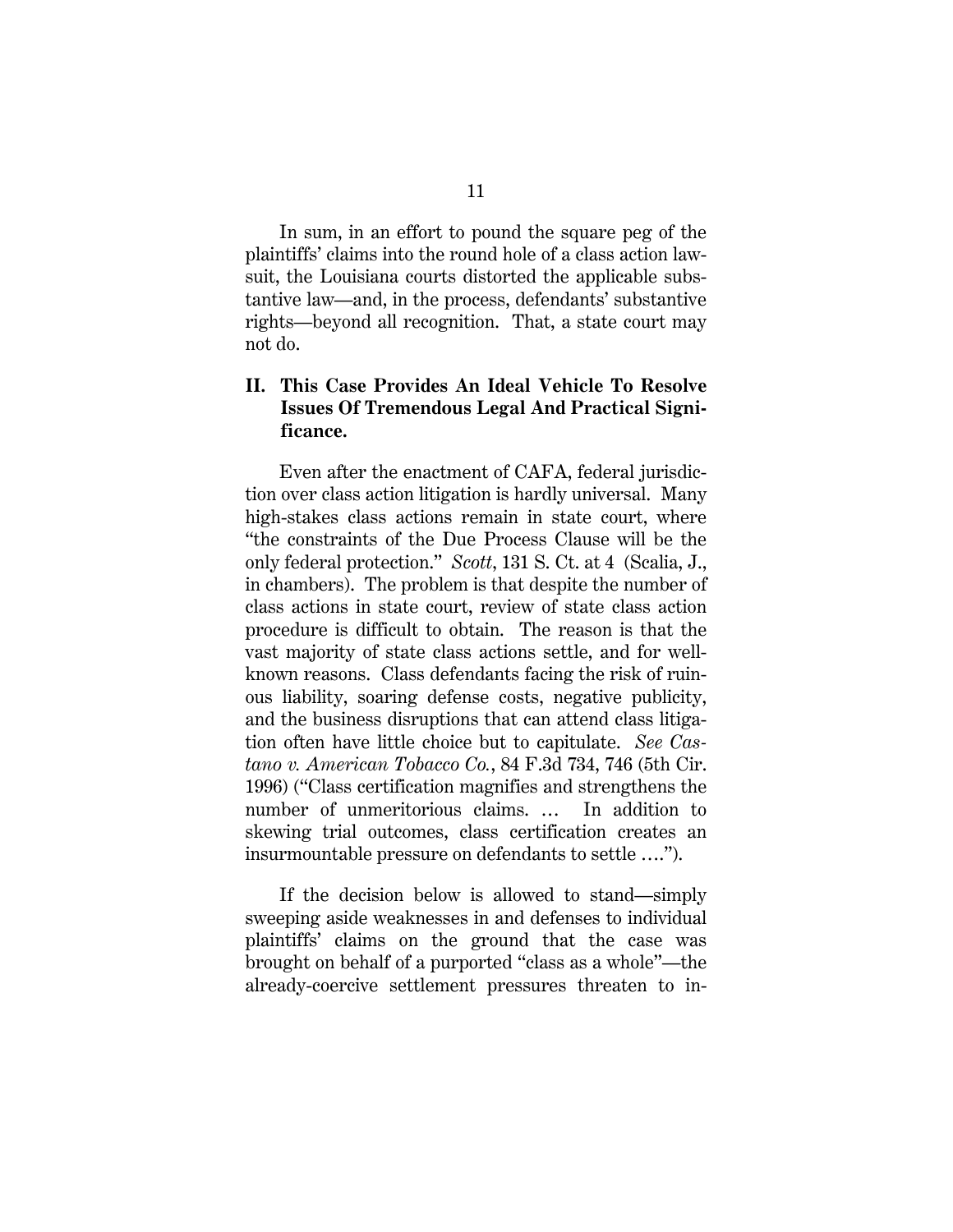In sum, in an effort to pound the square peg of the plaintiffs' claims into the round hole of a class action lawsuit, the Louisiana courts distorted the applicable substantive law—and, in the process, defendants' substantive rights—beyond all recognition. That, a state court may not do.

## **II. This Case Provides An Ideal Vehicle To Resolve Issues Of Tremendous Legal And Practical Significance.**

Even after the enactment of CAFA, federal jurisdiction over class action litigation is hardly universal. Many high-stakes class actions remain in state court, where "the constraints of the Due Process Clause will be the only federal protection." *Scott*, 131 S. Ct. at 4 (Scalia, J., in chambers). The problem is that despite the number of class actions in state court, review of state class action procedure is difficult to obtain. The reason is that the vast majority of state class actions settle, and for wellknown reasons. Class defendants facing the risk of ruinous liability, soaring defense costs, negative publicity, and the business disruptions that can attend class litigation often have little choice but to capitulate. *See Castano v. American Tobacco Co.*, 84 F.3d 734, 746 (5th Cir. 1996) ("Class certification magnifies and strengthens the number of unmeritorious claims. … In addition to skewing trial outcomes, class certification creates an insurmountable pressure on defendants to settle ….").

If the decision below is allowed to stand—simply sweeping aside weaknesses in and defenses to individual plaintiffs' claims on the ground that the case was brought on behalf of a purported "class as a whole"—the already-coercive settlement pressures threaten to in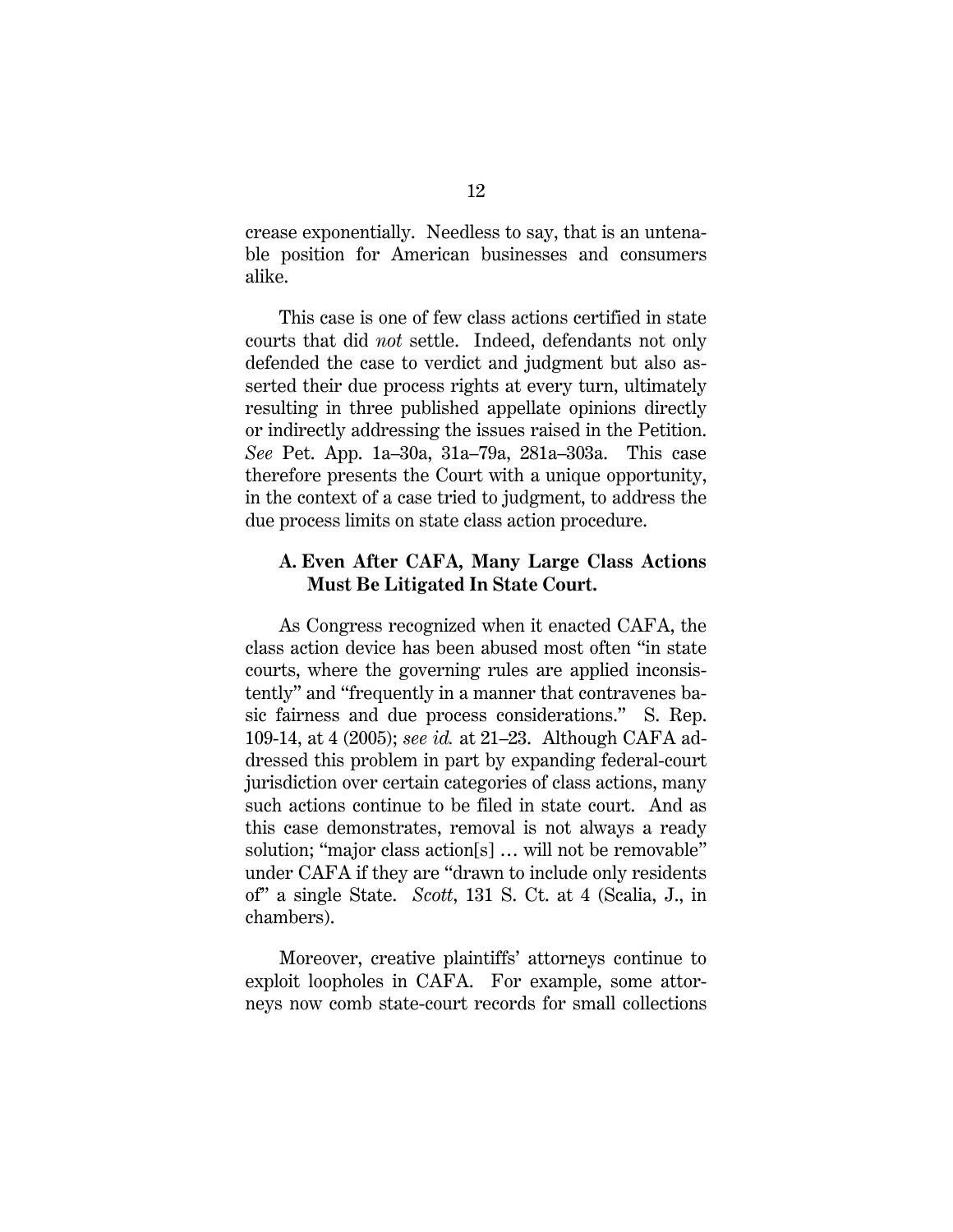crease exponentially. Needless to say, that is an untenable position for American businesses and consumers alike.

This case is one of few class actions certified in state courts that did *not* settle. Indeed, defendants not only defended the case to verdict and judgment but also asserted their due process rights at every turn, ultimately resulting in three published appellate opinions directly or indirectly addressing the issues raised in the Petition. *See* Pet. App. 1a–30a, 31a–79a, 281a–303a. This case therefore presents the Court with a unique opportunity, in the context of a case tried to judgment, to address the due process limits on state class action procedure.

#### **A. Even After CAFA, Many Large Class Actions Must Be Litigated In State Court.**

As Congress recognized when it enacted CAFA, the class action device has been abused most often "in state courts, where the governing rules are applied inconsistently" and "frequently in a manner that contravenes basic fairness and due process considerations." S. Rep. 109-14, at 4 (2005); *see id.* at 21–23. Although CAFA addressed this problem in part by expanding federal-court jurisdiction over certain categories of class actions, many such actions continue to be filed in state court. And as this case demonstrates, removal is not always a ready solution; "major class action[s] ... will not be removable" under CAFA if they are "drawn to include only residents of" a single State. *Scott*, 131 S. Ct. at 4 (Scalia, J., in chambers).

Moreover, creative plaintiffs' attorneys continue to exploit loopholes in CAFA. For example, some attorneys now comb state-court records for small collections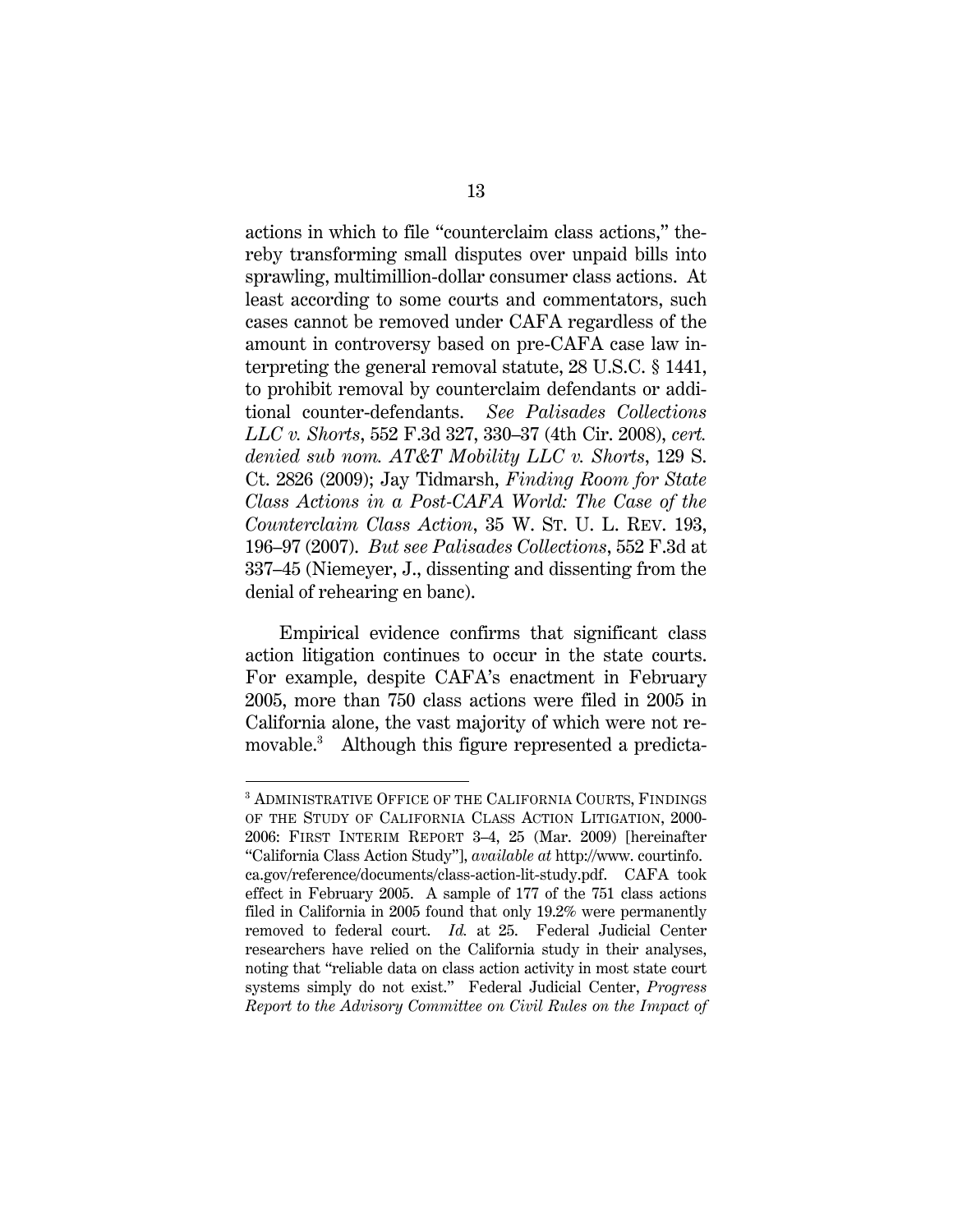actions in which to file "counterclaim class actions," thereby transforming small disputes over unpaid bills into sprawling, multimillion-dollar consumer class actions. At least according to some courts and commentators, such cases cannot be removed under CAFA regardless of the amount in controversy based on pre-CAFA case law interpreting the general removal statute, 28 U.S.C. § 1441, to prohibit removal by counterclaim defendants or additional counter-defendants. *See Palisades Collections LLC v. Shorts*, 552 F.3d 327, 330–37 (4th Cir. 2008), *cert. denied sub nom. AT&T Mobility LLC v. Shorts*, 129 S. Ct. 2826 (2009); Jay Tidmarsh, *Finding Room for State Class Actions in a Post-CAFA World: The Case of the Counterclaim Class Action*, 35 W. ST. U. L. REV. 193, 196–97 (2007). *But see Palisades Collections*, 552 F.3d at 337–45 (Niemeyer, J., dissenting and dissenting from the denial of rehearing en banc).

Empirical evidence confirms that significant class action litigation continues to occur in the state courts. For example, despite CAFA's enactment in February 2005, more than 750 class actions were filed in 2005 in California alone, the vast majority of which were not removable.3 Although this figure represented a predicta-

<sup>3</sup> ADMINISTRATIVE OFFICE OF THE CALIFORNIA COURTS, FINDINGS OF THE STUDY OF CALIFORNIA CLASS ACTION LITIGATION, 2000- 2006: FIRST INTERIM REPORT 3–4, 25 (Mar. 2009) [hereinafter "California Class Action Study"], *available at* http://www. courtinfo. ca.gov/reference/documents/class-action-lit-study.pdf. CAFA took effect in February 2005. A sample of 177 of the 751 class actions filed in California in 2005 found that only 19.2% were permanently removed to federal court. *Id.* at 25. Federal Judicial Center researchers have relied on the California study in their analyses, noting that "reliable data on class action activity in most state court systems simply do not exist." Federal Judicial Center, *Progress Report to the Advisory Committee on Civil Rules on the Impact of*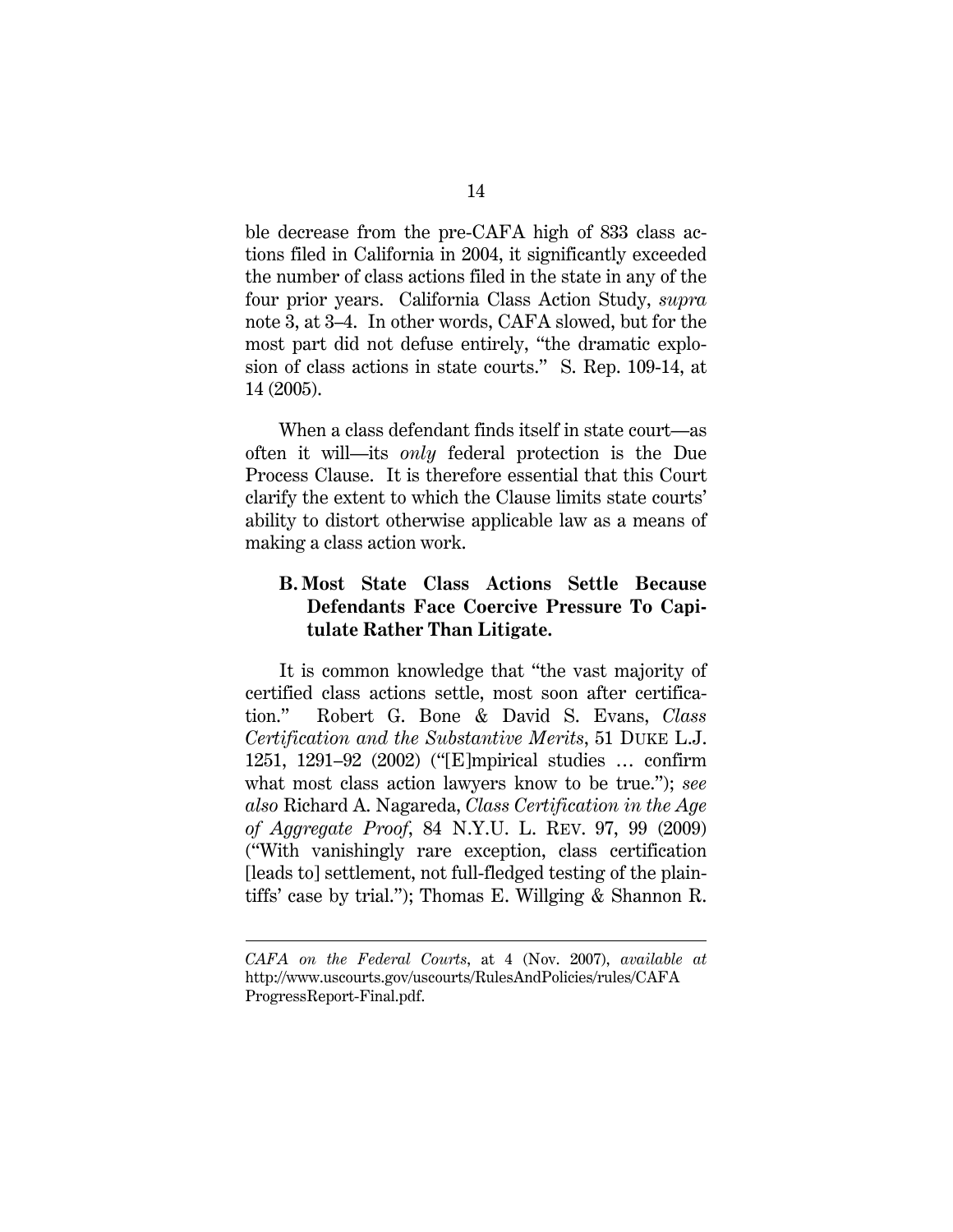ble decrease from the pre-CAFA high of 833 class actions filed in California in 2004, it significantly exceeded the number of class actions filed in the state in any of the four prior years. California Class Action Study, *supra*  note 3, at 3–4. In other words, CAFA slowed, but for the most part did not defuse entirely, "the dramatic explosion of class actions in state courts." S. Rep. 109-14, at 14 (2005).

When a class defendant finds itself in state court—as often it will—its *only* federal protection is the Due Process Clause. It is therefore essential that this Court clarify the extent to which the Clause limits state courts' ability to distort otherwise applicable law as a means of making a class action work.

## **B. Most State Class Actions Settle Because Defendants Face Coercive Pressure To Capitulate Rather Than Litigate.**

It is common knowledge that "the vast majority of certified class actions settle, most soon after certification." Robert G. Bone & David S. Evans, *Class Certification and the Substantive Merits*, 51 DUKE L.J. 1251, 1291–92 (2002) ("[E]mpirical studies … confirm what most class action lawyers know to be true."); *see also* Richard A. Nagareda, *Class Certification in the Age of Aggregate Proof*, 84 N.Y.U. L. REV. 97, 99 (2009) ("With vanishingly rare exception, class certification [leads to] settlement, not full-fledged testing of the plaintiffs' case by trial."); Thomas E. Willging & Shannon R.

*CAFA on the Federal Courts*, at 4 (Nov. 2007), *available at*  http://www.uscourts.gov/uscourts/RulesAndPolicies/rules/CAFA ProgressReport-Final.pdf.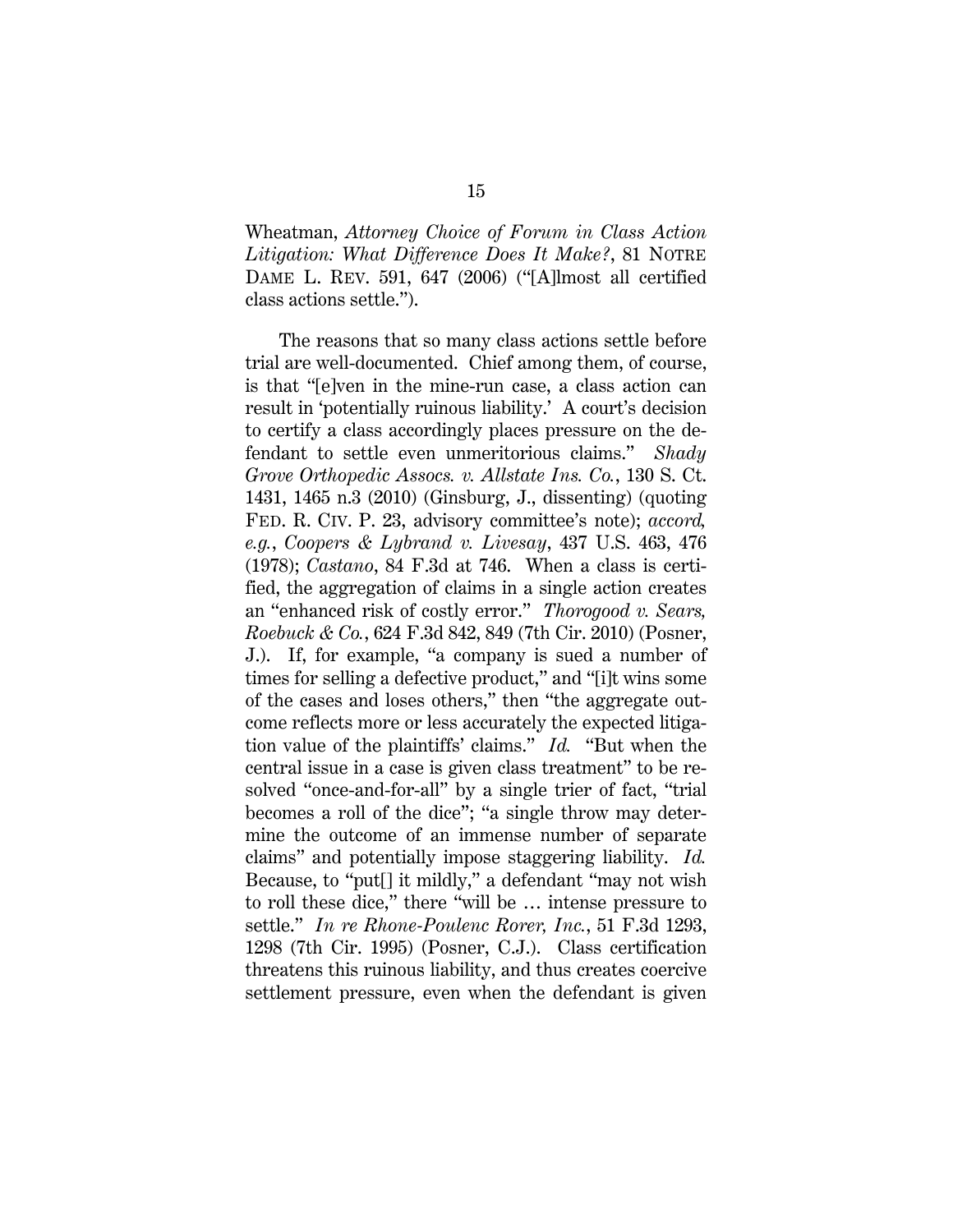Wheatman, *Attorney Choice of Forum in Class Action Litigation: What Difference Does It Make?*, 81 NOTRE DAME L. REV. 591, 647 (2006) ("[A]lmost all certified class actions settle.").

The reasons that so many class actions settle before trial are well-documented. Chief among them, of course, is that "[e]ven in the mine-run case, a class action can result in 'potentially ruinous liability.' A court's decision to certify a class accordingly places pressure on the defendant to settle even unmeritorious claims." *Shady Grove Orthopedic Assocs. v. Allstate Ins. Co.*, 130 S. Ct. 1431, 1465 n.3 (2010) (Ginsburg, J., dissenting) (quoting FED. R. CIV. P. 23, advisory committee's note); *accord, e.g.*, *Coopers & Lybrand v. Livesay*, 437 U.S. 463, 476 (1978); *Castano*, 84 F.3d at 746. When a class is certified, the aggregation of claims in a single action creates an "enhanced risk of costly error." *Thorogood v. Sears, Roebuck & Co.*, 624 F.3d 842, 849 (7th Cir. 2010) (Posner, J.). If, for example, "a company is sued a number of times for selling a defective product," and "[i]t wins some of the cases and loses others," then "the aggregate outcome reflects more or less accurately the expected litigation value of the plaintiffs' claims." *Id.* "But when the central issue in a case is given class treatment" to be resolved "once-and-for-all" by a single trier of fact, "trial becomes a roll of the dice"; "a single throw may determine the outcome of an immense number of separate claims" and potentially impose staggering liability. *Id.* Because, to "put[] it mildly," a defendant "may not wish to roll these dice," there "will be … intense pressure to settle." *In re Rhone-Poulenc Rorer, Inc.*, 51 F.3d 1293, 1298 (7th Cir. 1995) (Posner, C.J.). Class certification threatens this ruinous liability, and thus creates coercive settlement pressure, even when the defendant is given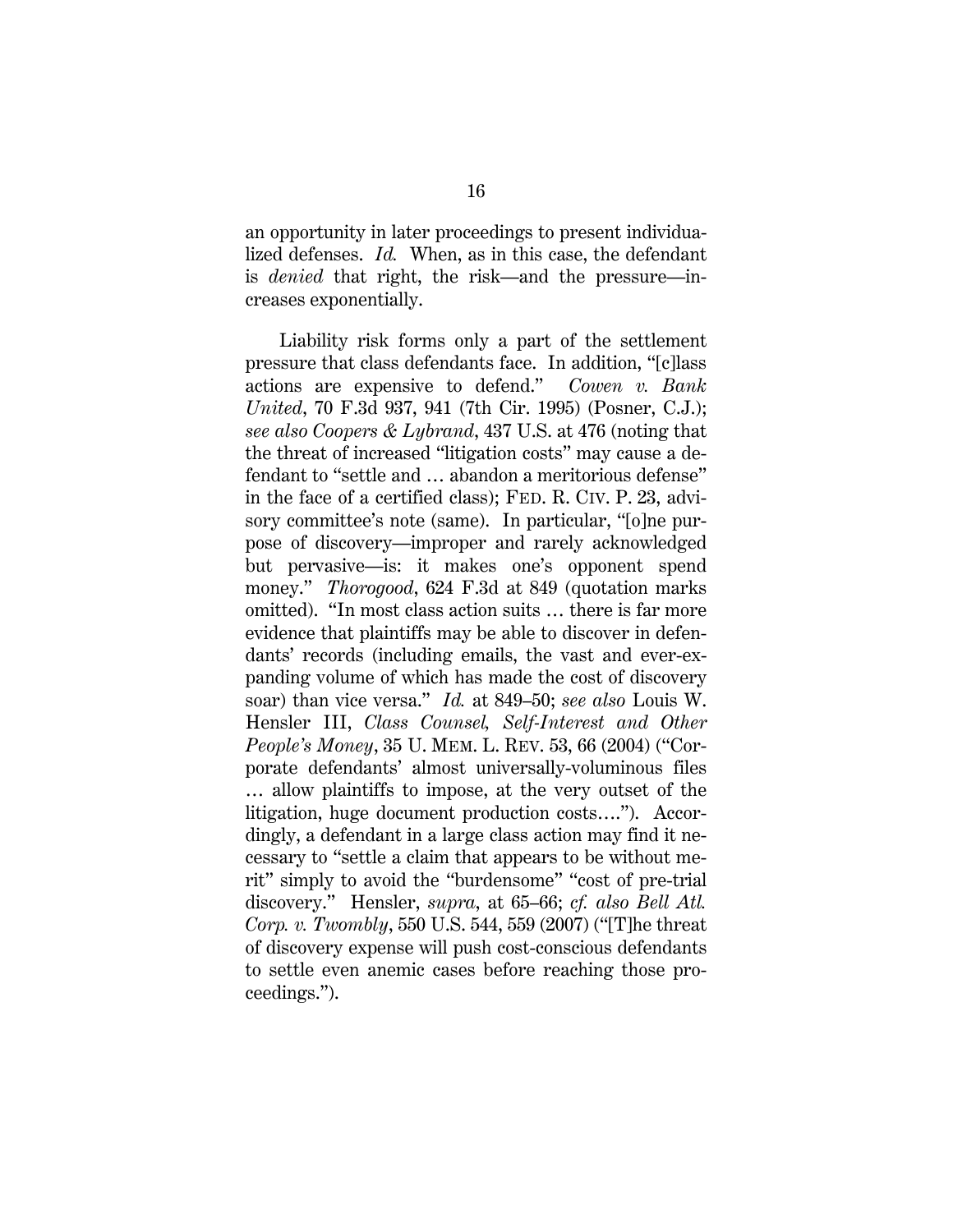an opportunity in later proceedings to present individualized defenses. *Id.* When, as in this case, the defendant is *denied* that right, the risk—and the pressure—increases exponentially.

Liability risk forms only a part of the settlement pressure that class defendants face. In addition, "[c]lass actions are expensive to defend." *Cowen v. Bank United*, 70 F.3d 937, 941 (7th Cir. 1995) (Posner, C.J.); *see also Coopers & Lybrand*, 437 U.S. at 476 (noting that the threat of increased "litigation costs" may cause a defendant to "settle and … abandon a meritorious defense" in the face of a certified class); FED. R. CIV. P. 23, advisory committee's note (same). In particular, "[o]ne purpose of discovery—improper and rarely acknowledged but pervasive—is: it makes one's opponent spend money." *Thorogood*, 624 F.3d at 849 (quotation marks omitted). "In most class action suits … there is far more evidence that plaintiffs may be able to discover in defendants' records (including emails, the vast and ever-expanding volume of which has made the cost of discovery soar) than vice versa." *Id.* at 849–50; *see also* Louis W. Hensler III, *Class Counsel, Self-Interest and Other People's Money*, 35 U. MEM. L. REV. 53, 66 (2004) ("Corporate defendants' almost universally-voluminous files … allow plaintiffs to impose, at the very outset of the litigation, huge document production costs…."). Accordingly, a defendant in a large class action may find it necessary to "settle a claim that appears to be without merit" simply to avoid the "burdensome" "cost of pre-trial discovery." Hensler, *supra*, at 65–66; *cf. also Bell Atl. Corp. v. Twombly*, 550 U.S. 544, 559 (2007) ("[T]he threat of discovery expense will push cost-conscious defendants to settle even anemic cases before reaching those proceedings.").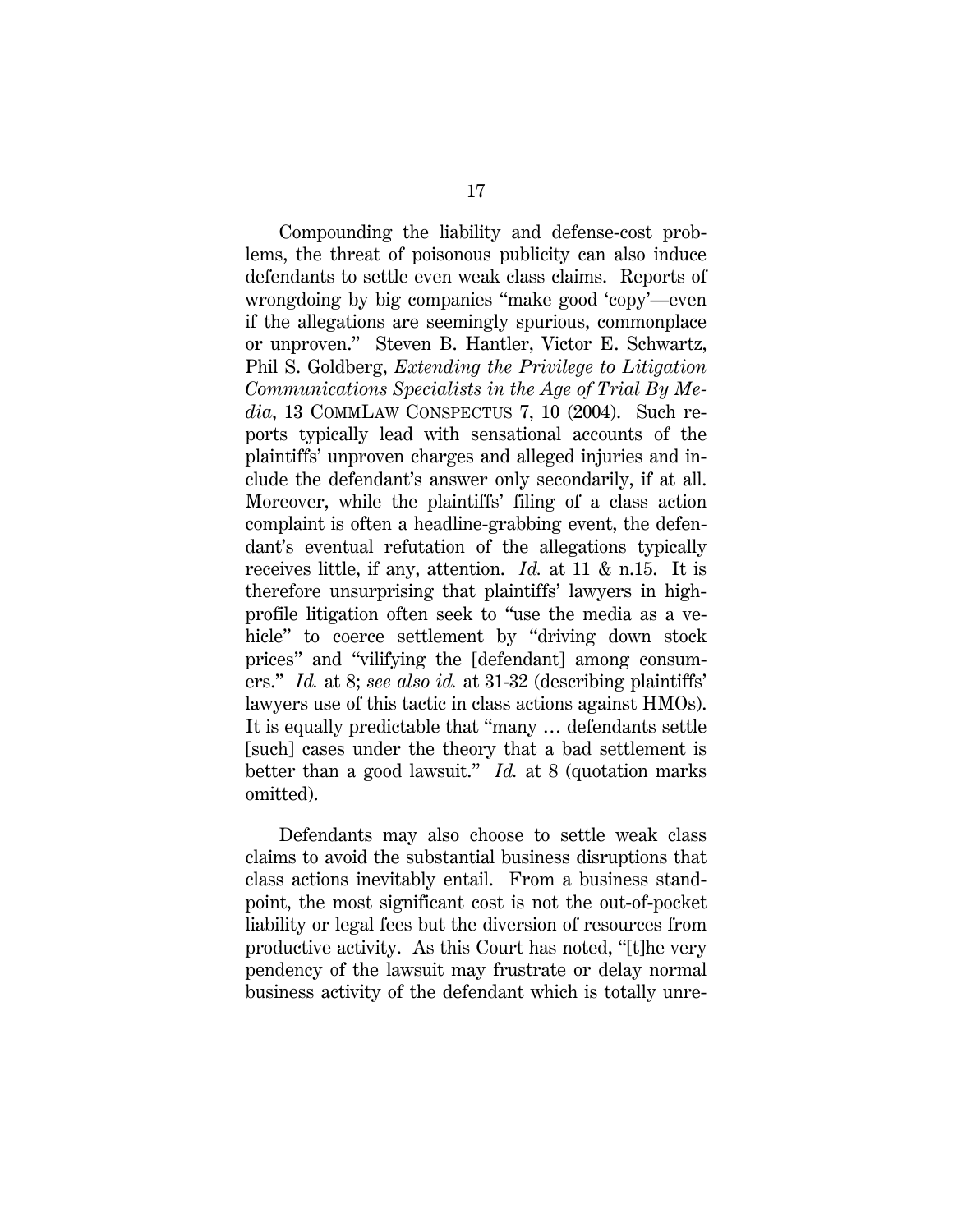Compounding the liability and defense-cost problems, the threat of poisonous publicity can also induce defendants to settle even weak class claims. Reports of wrongdoing by big companies "make good 'copy'—even if the allegations are seemingly spurious, commonplace or unproven." Steven B. Hantler, Victor E. Schwartz, Phil S. Goldberg, *Extending the Privilege to Litigation Communications Specialists in the Age of Trial By Media*, 13 COMMLAW CONSPECTUS 7, 10 (2004). Such reports typically lead with sensational accounts of the plaintiffs' unproven charges and alleged injuries and include the defendant's answer only secondarily, if at all. Moreover, while the plaintiffs' filing of a class action complaint is often a headline-grabbing event, the defendant's eventual refutation of the allegations typically receives little, if any, attention. *Id.* at 11 & n.15. It is therefore unsurprising that plaintiffs' lawyers in highprofile litigation often seek to "use the media as a vehicle" to coerce settlement by "driving down stock prices" and "vilifying the [defendant] among consumers." *Id.* at 8; *see also id.* at 31-32 (describing plaintiffs' lawyers use of this tactic in class actions against HMOs). It is equally predictable that "many … defendants settle [such] cases under the theory that a bad settlement is better than a good lawsuit." *Id.* at 8 (quotation marks omitted).

Defendants may also choose to settle weak class claims to avoid the substantial business disruptions that class actions inevitably entail. From a business standpoint, the most significant cost is not the out-of-pocket liability or legal fees but the diversion of resources from productive activity. As this Court has noted, "[t]he very pendency of the lawsuit may frustrate or delay normal business activity of the defendant which is totally unre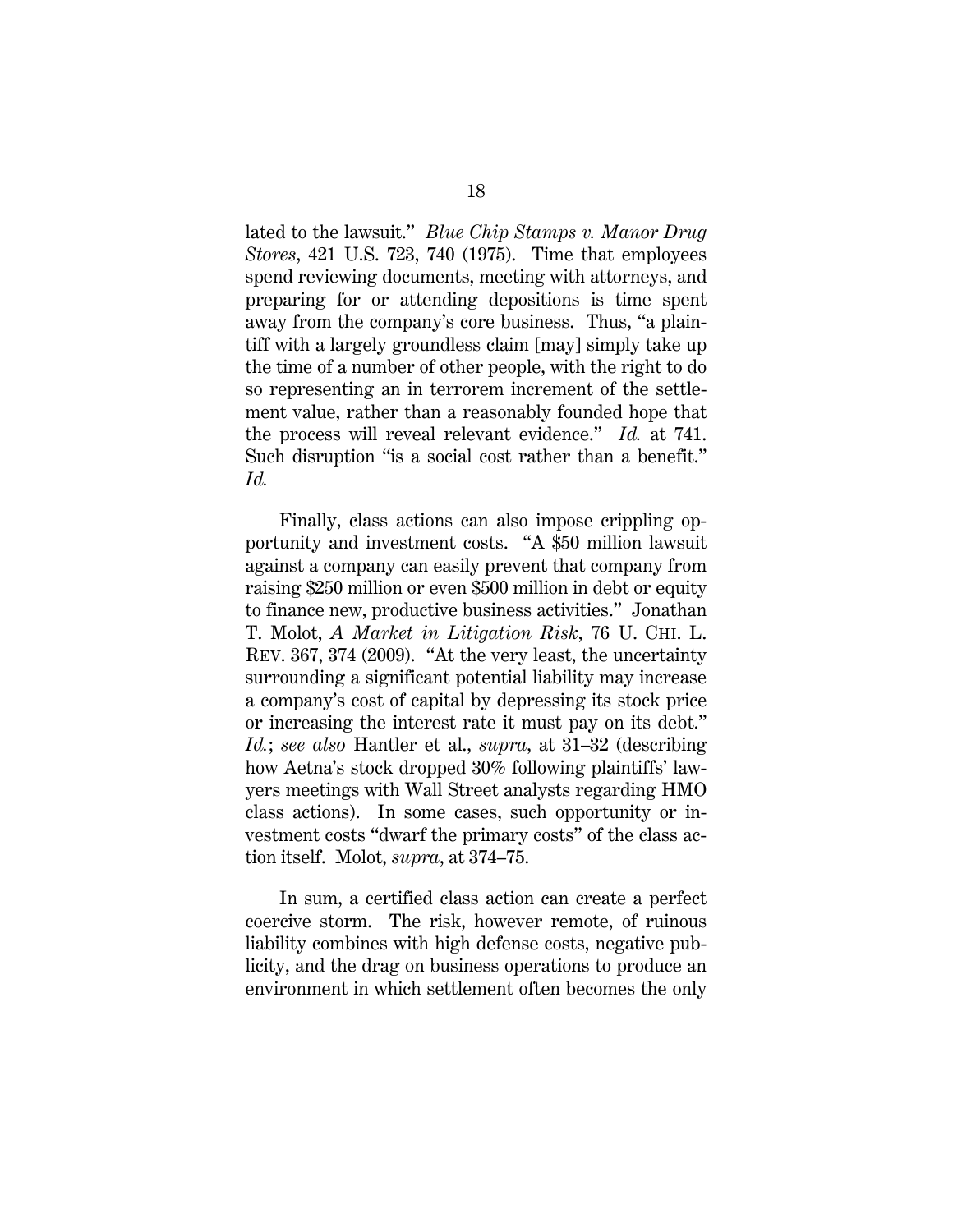lated to the lawsuit." *Blue Chip Stamps v. Manor Drug Stores*, 421 U.S. 723, 740 (1975). Time that employees spend reviewing documents, meeting with attorneys, and preparing for or attending depositions is time spent away from the company's core business. Thus, "a plaintiff with a largely groundless claim [may] simply take up the time of a number of other people, with the right to do so representing an in terrorem increment of the settlement value, rather than a reasonably founded hope that the process will reveal relevant evidence." *Id.* at 741. Such disruption "is a social cost rather than a benefit." *Id.*

Finally, class actions can also impose crippling opportunity and investment costs. "A \$50 million lawsuit against a company can easily prevent that company from raising \$250 million or even \$500 million in debt or equity to finance new, productive business activities." Jonathan T. Molot, *A Market in Litigation Risk*, 76 U. CHI. L. REV. 367, 374 (2009). "At the very least, the uncertainty surrounding a significant potential liability may increase a company's cost of capital by depressing its stock price or increasing the interest rate it must pay on its debt." *Id.*; *see also* Hantler et al., *supra*, at 31–32 (describing how Aetna's stock dropped 30% following plaintiffs' lawyers meetings with Wall Street analysts regarding HMO class actions). In some cases, such opportunity or investment costs "dwarf the primary costs" of the class action itself. Molot, *supra*, at 374–75.

In sum, a certified class action can create a perfect coercive storm. The risk, however remote, of ruinous liability combines with high defense costs, negative publicity, and the drag on business operations to produce an environment in which settlement often becomes the only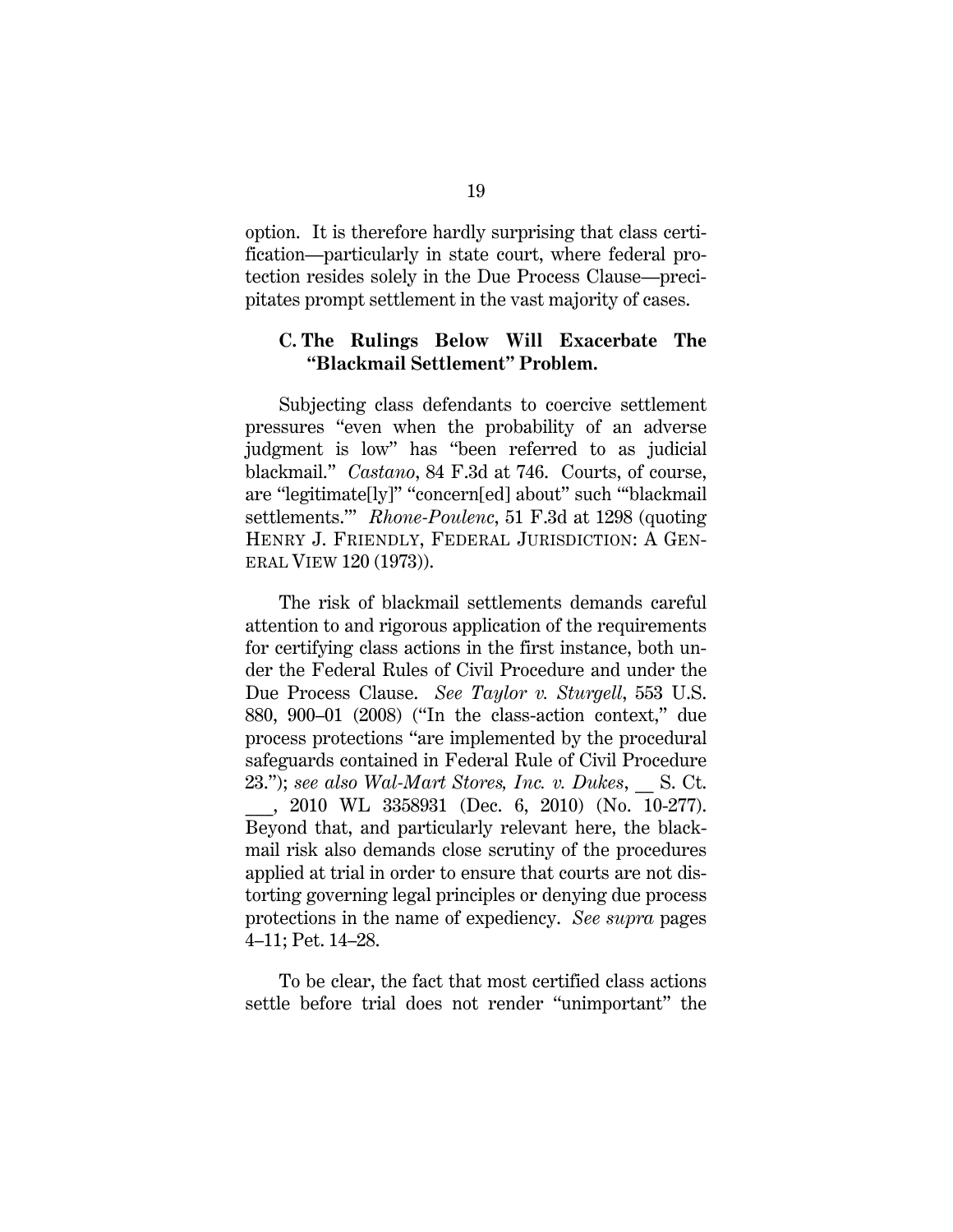option. It is therefore hardly surprising that class certification—particularly in state court, where federal protection resides solely in the Due Process Clause—precipitates prompt settlement in the vast majority of cases.

#### **C. The Rulings Below Will Exacerbate The "Blackmail Settlement" Problem.**

Subjecting class defendants to coercive settlement pressures "even when the probability of an adverse judgment is low" has "been referred to as judicial blackmail." *Castano*, 84 F.3d at 746. Courts, of course, are "legitimate[ly]" "concern[ed] about" such "'blackmail settlements.'" *Rhone-Poulenc*, 51 F.3d at 1298 (quoting HENRY J. FRIENDLY, FEDERAL JURISDICTION: A GEN-ERAL VIEW 120 (1973)).

The risk of blackmail settlements demands careful attention to and rigorous application of the requirements for certifying class actions in the first instance, both under the Federal Rules of Civil Procedure and under the Due Process Clause. *See Taylor v. Sturgell*, 553 U.S. 880, 900–01 (2008) ("In the class-action context," due process protections "are implemented by the procedural safeguards contained in Federal Rule of Civil Procedure 23."); see also Wal-Mart Stores, Inc. v. Dukes, S. Ct. \_\_\_, 2010 WL 3358931 (Dec. 6, 2010) (No. 10-277). Beyond that, and particularly relevant here, the blackmail risk also demands close scrutiny of the procedures applied at trial in order to ensure that courts are not distorting governing legal principles or denying due process protections in the name of expediency. *See supra* pages 4–11; Pet. 14–28.

To be clear, the fact that most certified class actions settle before trial does not render "unimportant" the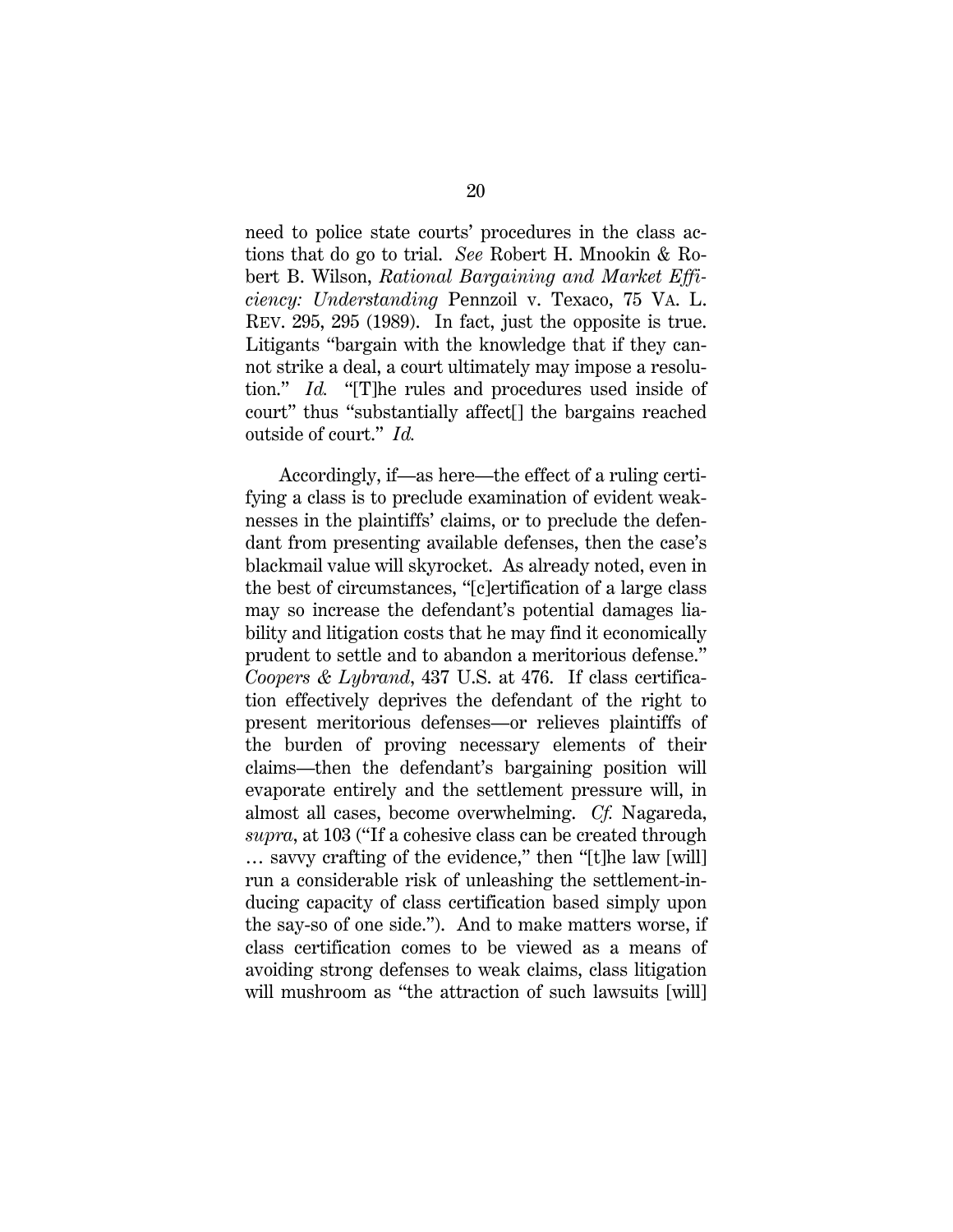need to police state courts' procedures in the class actions that do go to trial. *See* Robert H. Mnookin & Robert B. Wilson, *Rational Bargaining and Market Efficiency: Understanding* Pennzoil v. Texaco, 75 VA. L. REV. 295, 295 (1989). In fact, just the opposite is true. Litigants "bargain with the knowledge that if they cannot strike a deal, a court ultimately may impose a resolution." *Id.* "[T]he rules and procedures used inside of court" thus "substantially affect[] the bargains reached outside of court." *Id.*

Accordingly, if—as here—the effect of a ruling certifying a class is to preclude examination of evident weaknesses in the plaintiffs' claims, or to preclude the defendant from presenting available defenses, then the case's blackmail value will skyrocket. As already noted, even in the best of circumstances, "[c]ertification of a large class may so increase the defendant's potential damages liability and litigation costs that he may find it economically prudent to settle and to abandon a meritorious defense." *Coopers & Lybrand*, 437 U.S. at 476. If class certification effectively deprives the defendant of the right to present meritorious defenses—or relieves plaintiffs of the burden of proving necessary elements of their claims—then the defendant's bargaining position will evaporate entirely and the settlement pressure will, in almost all cases, become overwhelming. *Cf.* Nagareda, *supra*, at 103 ("If a cohesive class can be created through … savvy crafting of the evidence," then "[t]he law [will] run a considerable risk of unleashing the settlement-inducing capacity of class certification based simply upon the say-so of one side."). And to make matters worse, if class certification comes to be viewed as a means of avoiding strong defenses to weak claims, class litigation will mushroom as "the attraction of such lawsuits [will]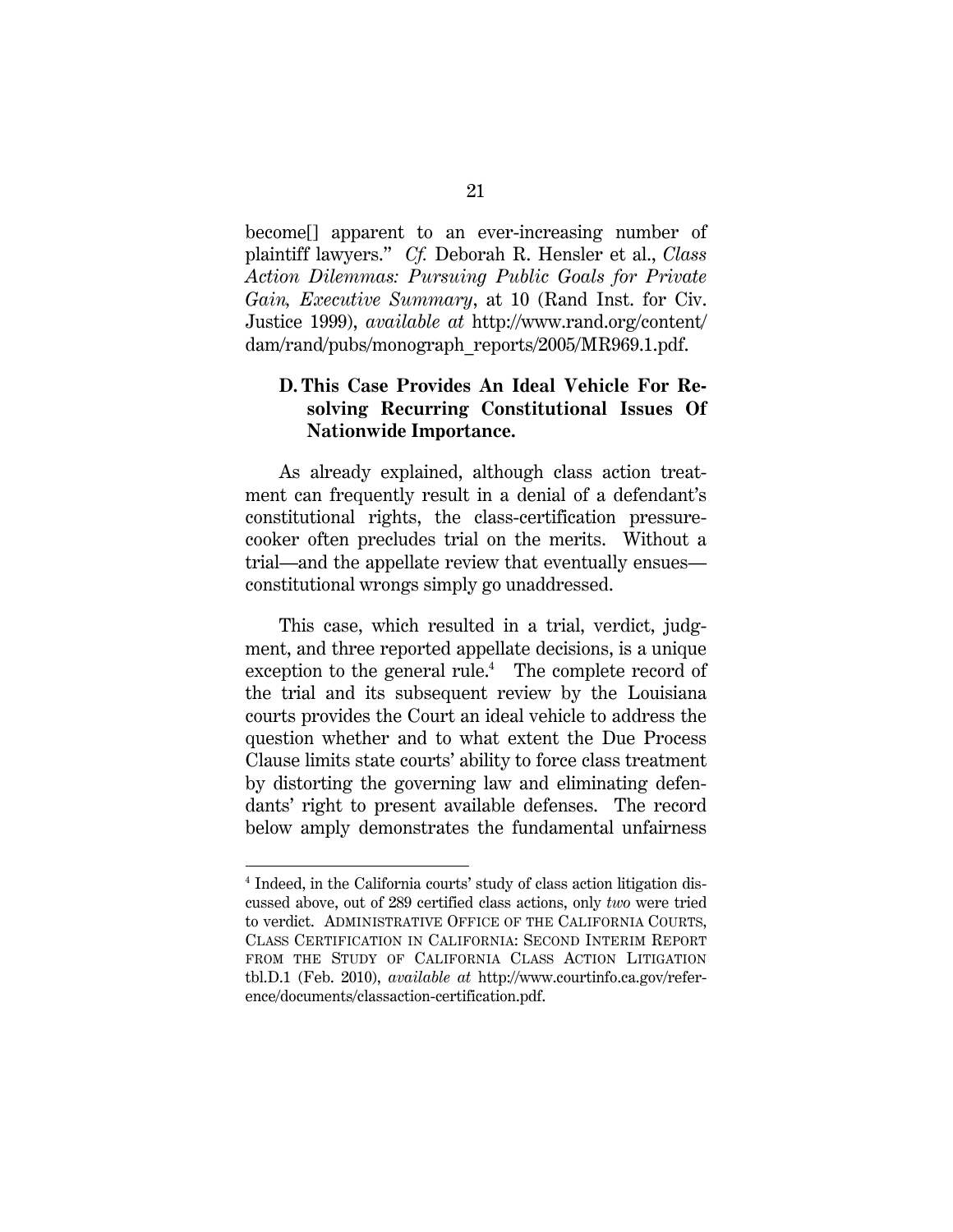become[] apparent to an ever-increasing number of plaintiff lawyers.'' *Cf.* Deborah R. Hensler et al., *Class Action Dilemmas: Pursuing Public Goals for Private Gain, Executive Summary*, at 10 (Rand Inst. for Civ. Justice 1999), *available at* http://www.rand.org/content/ dam/rand/pubs/monograph\_reports/2005/MR969.1.pdf.

## **D. This Case Provides An Ideal Vehicle For Resolving Recurring Constitutional Issues Of Nationwide Importance.**

As already explained, although class action treatment can frequently result in a denial of a defendant's constitutional rights, the class-certification pressurecooker often precludes trial on the merits. Without a trial—and the appellate review that eventually ensues constitutional wrongs simply go unaddressed.

This case, which resulted in a trial, verdict, judgment, and three reported appellate decisions, is a unique exception to the general rule. $<sup>4</sup>$  The complete record of</sup> the trial and its subsequent review by the Louisiana courts provides the Court an ideal vehicle to address the question whether and to what extent the Due Process Clause limits state courts' ability to force class treatment by distorting the governing law and eliminating defendants' right to present available defenses. The record below amply demonstrates the fundamental unfairness

l

<sup>&</sup>lt;sup>4</sup> Indeed, in the California courts' study of class action litigation discussed above, out of 289 certified class actions, only *two* were tried to verdict. ADMINISTRATIVE OFFICE OF THE CALIFORNIA COURTS, CLASS CERTIFICATION IN CALIFORNIA: SECOND INTERIM REPORT FROM THE STUDY OF CALIFORNIA CLASS ACTION LITIGATION tbl.D.1 (Feb. 2010), *available at* http://www.courtinfo.ca.gov/reference/documents/classaction-certification.pdf.